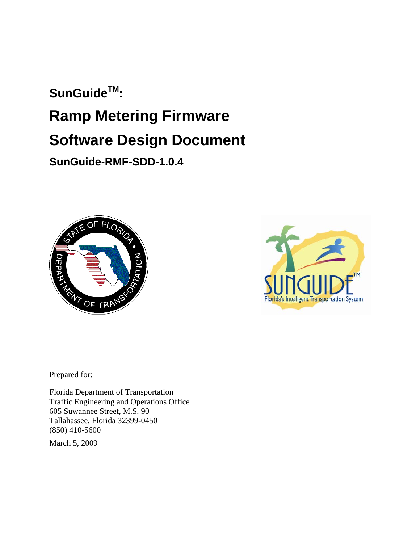# **SunGuideTM: Ramp Metering Firmware Software Design Document SunGuide-RMF-SDD-1.0.4**





Prepared for:

Florida Department of Transportation Traffic Engineering and Operations Office 605 Suwannee Street, M.S. 90 Tallahassee, Florida 32399-0450 (850) 410-5600

March 5, 2009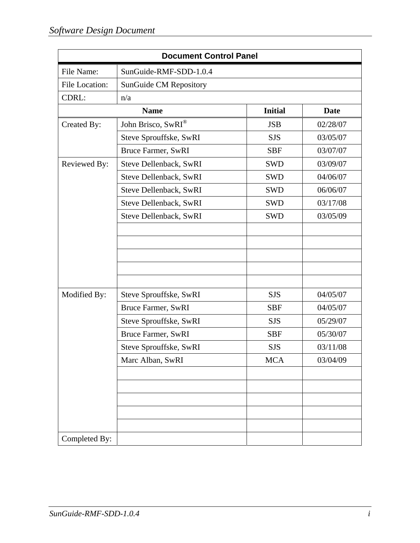| <b>Document Control Panel</b> |                           |                |          |  |
|-------------------------------|---------------------------|----------------|----------|--|
| File Name:                    | SunGuide-RMF-SDD-1.0.4    |                |          |  |
| File Location:                | SunGuide CM Repository    |                |          |  |
| CDRL:                         | n/a                       |                |          |  |
|                               | <b>Name</b>               | <b>Initial</b> | Date     |  |
| Created By:                   | John Brisco, SwRI®        | <b>JSB</b>     | 02/28/07 |  |
|                               | Steve Sprouffske, SwRI    | <b>SJS</b>     | 03/05/07 |  |
|                               | Bruce Farmer, SwRI        | <b>SBF</b>     | 03/07/07 |  |
| Reviewed By:                  | Steve Dellenback, SwRI    | <b>SWD</b>     | 03/09/07 |  |
|                               | Steve Dellenback, SwRI    | <b>SWD</b>     | 04/06/07 |  |
|                               | Steve Dellenback, SwRI    | <b>SWD</b>     | 06/06/07 |  |
|                               | Steve Dellenback, SwRI    | <b>SWD</b>     | 03/17/08 |  |
|                               | Steve Dellenback, SwRI    | <b>SWD</b>     | 03/05/09 |  |
|                               |                           |                |          |  |
|                               |                           |                |          |  |
|                               |                           |                |          |  |
|                               |                           |                |          |  |
|                               |                           |                |          |  |
| Modified By:                  | Steve Sprouffske, SwRI    | <b>SJS</b>     | 04/05/07 |  |
|                               | <b>Bruce Farmer, SwRI</b> | <b>SBF</b>     | 04/05/07 |  |
|                               | Steve Sprouffske, SwRI    | <b>SJS</b>     | 05/29/07 |  |
|                               | <b>Bruce Farmer, SwRI</b> | <b>SBF</b>     | 05/30/07 |  |
|                               | Steve Sprouffske, SwRI    | <b>SJS</b>     | 03/11/08 |  |
|                               | Marc Alban, SwRI          | <b>MCA</b>     | 03/04/09 |  |
|                               |                           |                |          |  |
|                               |                           |                |          |  |
|                               |                           |                |          |  |
|                               |                           |                |          |  |
|                               |                           |                |          |  |
| Completed By:                 |                           |                |          |  |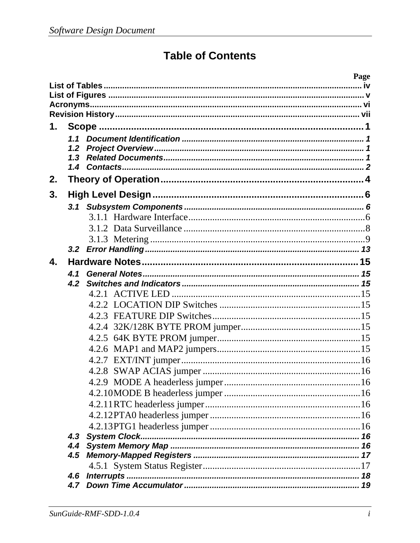## **Table of Contents**

|              |     | Page           |  |
|--------------|-----|----------------|--|
|              |     |                |  |
|              |     |                |  |
|              |     |                |  |
| 1.           |     |                |  |
|              |     |                |  |
|              | 1.2 |                |  |
|              | 1.3 |                |  |
|              |     |                |  |
| 2.           |     |                |  |
| 3.           |     |                |  |
|              |     |                |  |
|              |     |                |  |
|              |     |                |  |
|              |     |                |  |
|              |     |                |  |
| $\mathbf{4}$ |     |                |  |
|              | 4.1 |                |  |
|              | 4.2 |                |  |
|              |     |                |  |
|              |     |                |  |
|              |     |                |  |
|              |     |                |  |
|              |     |                |  |
|              |     |                |  |
|              |     |                |  |
|              |     |                |  |
|              |     |                |  |
|              |     |                |  |
|              |     |                |  |
|              |     |                |  |
|              |     |                |  |
|              | 4.3 |                |  |
|              |     |                |  |
|              |     |                |  |
|              |     | 4.6 Interrupts |  |
|              |     |                |  |
|              |     |                |  |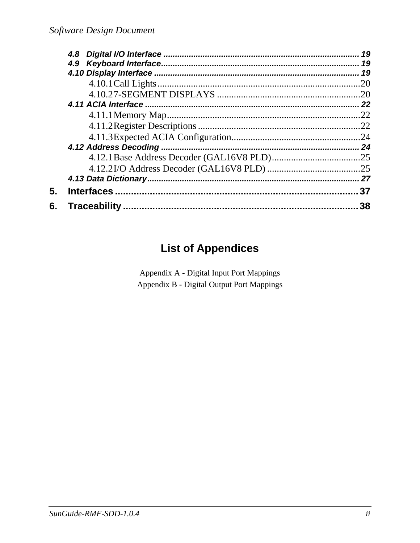|    | 19  |
|----|-----|
|    |     |
|    | 19  |
|    | 20  |
|    | .20 |
|    |     |
|    | .22 |
|    |     |
|    | .24 |
|    | 24  |
|    |     |
|    |     |
|    |     |
| 5. | 37  |
| 6. | 38  |

## **List of Appendices**

Appendix A - Digital Input Port Mappings Appendix B - Digital Output Port Mappings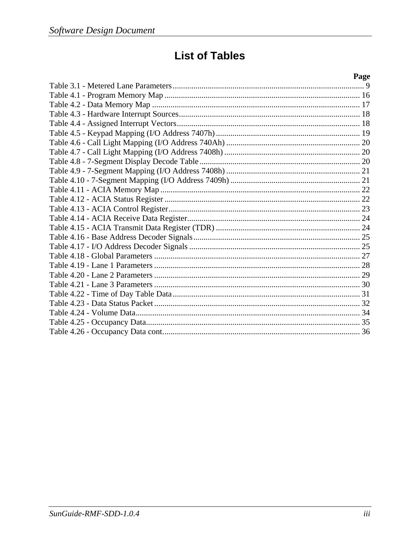## **List of Tables**

| Page |
|------|
|      |
|      |
|      |
|      |
|      |
|      |
|      |
|      |
|      |
|      |
|      |
|      |
|      |
|      |
|      |
|      |
|      |
|      |
|      |
|      |
|      |
|      |
|      |
|      |
|      |
|      |
|      |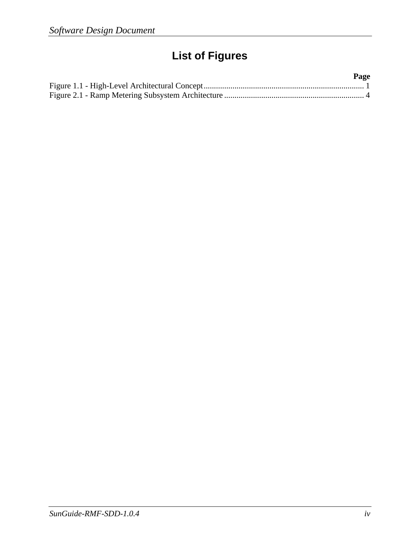# **List of Figures**

| Page |  |
|------|--|
|      |  |
|      |  |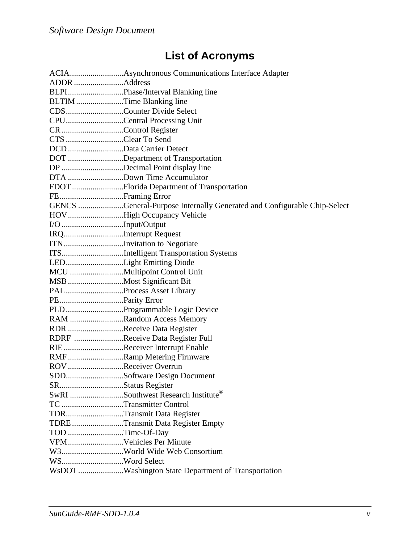# **List of Acronyms**

| ADDR Address             |                                                                         |
|--------------------------|-------------------------------------------------------------------------|
|                          | BLPIPhase/Interval Blanking line                                        |
| BLTIM Time Blanking line |                                                                         |
|                          | CDSCounter Divide Select                                                |
|                          | CPUCentral Processing Unit                                              |
| CR Control Register      |                                                                         |
| CTS Clear To Send        |                                                                         |
| DCD Data Carrier Detect  |                                                                         |
|                          | DOT Department of Transportation                                        |
|                          | DP Decimal Point display line                                           |
|                          | DTA Down Time Accumulator                                               |
|                          |                                                                         |
| FEFraming Error          |                                                                         |
|                          | GENCS General-Purpose Internally Generated and Configurable Chip-Select |
|                          | HOV High Occupancy Vehicle                                              |
|                          |                                                                         |
| IRQInterrupt Request     |                                                                         |
|                          | ITN Invitation to Negotiate                                             |
|                          | ITSIntelligent Transportation Systems                                   |
|                          | LEDLight Emitting Diode                                                 |
|                          |                                                                         |
|                          | MSB Most Significant Bit                                                |
|                          | PALProcess Asset Library                                                |
|                          |                                                                         |
|                          | PLDProgrammable Logic Device                                            |
|                          | RAM Random Access Memory                                                |
|                          | RDR Receive Data Register                                               |
|                          | RDRF Receive Data Register Full                                         |
|                          | RIE Receiver Interrupt Enable                                           |
|                          | RMF Ramp Metering Firmware                                              |
| ROV Receiver Overrun     |                                                                         |
|                          | SDDSoftware Design Document                                             |
|                          |                                                                         |
|                          | SwRI Southwest Research Institute®                                      |
| TC Transmitter Control   |                                                                         |
|                          | TDRTransmit Data Register                                               |
|                          | TDRETransmit Data Register Empty                                        |
| TOD Time-Of-Day          |                                                                         |
|                          | VPMVehicles Per Minute                                                  |
|                          | W3World Wide Web Consortium                                             |
| WSWord Select            |                                                                         |
|                          | WsDOT Washington State Department of Transportation                     |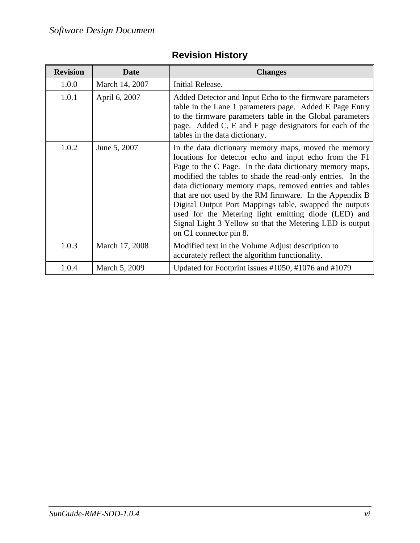| <b>Revision</b> | <b>Date</b>    | <b>Changes</b>                                                                                                                                                                                                                                                                                                                                                                                                                                                                                                                                                         |
|-----------------|----------------|------------------------------------------------------------------------------------------------------------------------------------------------------------------------------------------------------------------------------------------------------------------------------------------------------------------------------------------------------------------------------------------------------------------------------------------------------------------------------------------------------------------------------------------------------------------------|
| 1.0.0           | March 14, 2007 | Initial Release.                                                                                                                                                                                                                                                                                                                                                                                                                                                                                                                                                       |
| 1.0.1           | April 6, 2007  | Added Detector and Input Echo to the firmware parameters<br>table in the Lane 1 parameters page. Added E Page Entry<br>to the firmware parameters table in the Global parameters<br>page. Added C, E and F page designators for each of the<br>tables in the data dictionary.                                                                                                                                                                                                                                                                                          |
| 1.0.2           | June 5, 2007   | In the data dictionary memory maps, moved the memory<br>locations for detector echo and input echo from the F1<br>Page to the C Page. In the data dictionary memory maps,<br>modified the tables to shade the read-only entries. In the<br>data dictionary memory maps, removed entries and tables<br>that are not used by the RM firmware. In the Appendix B<br>Digital Output Port Mappings table, swapped the outputs<br>used for the Metering light emitting diode (LED) and<br>Signal Light 3 Yellow so that the Metering LED is output<br>on C1 connector pin 8. |
| 1.0.3           | March 17, 2008 | Modified text in the Volume Adjust description to<br>accurately reflect the algorithm functionality.                                                                                                                                                                                                                                                                                                                                                                                                                                                                   |
| 1.0.4           | March 5, 2009  | Updated for Footprint issues #1050, #1076 and #1079                                                                                                                                                                                                                                                                                                                                                                                                                                                                                                                    |

### **Revision History**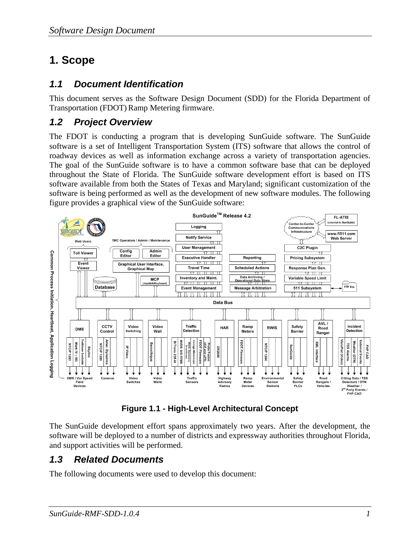## **1. Scope**

### *1.1 Document Identification*

This document serves as the Software Design Document (SDD) for the Florida Department of Transportation (FDOT) Ramp Metering firmware.

### *1.2 Project Overview*

The FDOT is conducting a program that is developing SunGuide software. The SunGuide software is a set of Intelligent Transportation System (ITS) software that allows the control of roadway devices as well as information exchange across a variety of transportation agencies. The goal of the SunGuide software is to have a common software base that can be deployed throughout the State of Florida. The SunGuide software development effort is based on ITS software available from both the States of Texas and Maryland; significant customization of the software is being performed as well as the development of new software modules. The following figure provides a graphical view of the SunGuide software:



**Figure 1.1 - High-Level Architectural Concept** 

The SunGuide development effort spans approximately two years. After the development, the software will be deployed to a number of districts and expressway authorities throughout Florida, and support activities will be performed.

### *1.3 Related Documents*

The following documents were used to develop this document: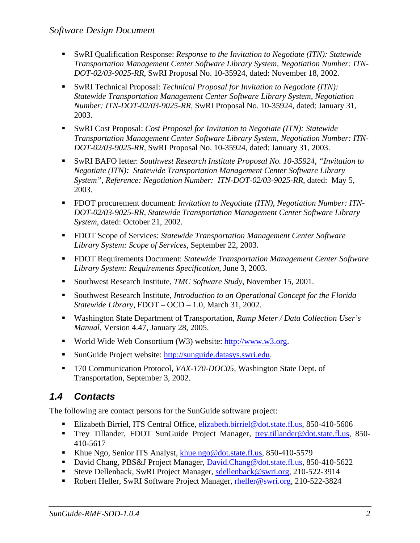- SwRI Qualification Response: *Response to the Invitation to Negotiate (ITN): Statewide Transportation Management Center Software Library System, Negotiation Number: ITN-DOT-02/03-9025-RR,* SwRI Proposal No. 10-35924, dated: November 18, 2002.
- SwRI Technical Proposal: *Technical Proposal for Invitation to Negotiate (ITN)*: *Statewide Transportation Management Center Software Library System, Negotiation Number: ITN-DOT-02/03-9025-RR,* SwRI Proposal No. 10-35924, dated: January 31, 2003.
- SwRI Cost Proposal: *Cost Proposal for Invitation to Negotiate (ITN): Statewide Transportation Management Center Software Library System, Negotiation Number: ITN-DOT-02/03-9025-RR,* SwRI Proposal No. 10-35924, dated: January 31, 2003.
- SwRI BAFO letter: *Southwest Research Institute Proposal No. 10-35924, "Invitation to Negotiate (ITN): Statewide Transportation Management Center Software Library System", Reference: Negotiation Number: ITN-DOT-02/03-9025-RR*, dated: May 5, 2003.
- FDOT procurement document: *Invitation to Negotiate (ITN), Negotiation Number: ITN DOT-02/03-9025-RR, Statewide Transportation Management Center Software Library System*, dated: October 21, 2002.
- FDOT Scope of Services: *Statewide Transportation Management Center Software Library System: Scope of Services,* September 22, 2003.
- FDOT Requirements Document: *Statewide Transportation Management Center Software Library System: Requirements Specification,* June 3, 2003.
- Southwest Research Institute, *TMC Software Study*, November 15, 2001.
- Southwest Research Institute, *Introduction to an Operational Concept for the Florida Statewide Library*, FDOT – OCD – 1.0, March 31, 2002.
- Washington State Department of Transportation, *Ramp Meter / Data Collection User's Manual,* Version 4.47, January 28, 2005.
- World Wide Web Consortium (W3) website: http://www.w3.org.
- SunGuide Project website: http://sunguide.datasys.swri.edu.
- 170 Communication Protocol, *VAX-170-DOC05,* Washington State Dept. of Transportation, September 3, 2002.

### *1.4 Contacts*

The following are contact persons for the SunGuide software project:

- Elizabeth Birriel, ITS Central Office, elizabeth.birriel@dot.state.fl.us, 850-410-5606
- Trey Tillander, FDOT SunGuide Project Manager, trey.tillander@dot.state.fl.us, 850-410-5617
- Khue Ngo, Senior ITS Analyst, khue.ngo@dot.state.fl.us, 850-410-5579
- David Chang, PBS&J Project Manager, David.Chang@dot.state.fl.us, 850-410-5622
- Steve Dellenback, SwRI Project Manager, sdellenback@swri.org, 210-522-3914
- Robert Heller, SwRI Software Project Manager, rheller@swri.org, 210-522-3824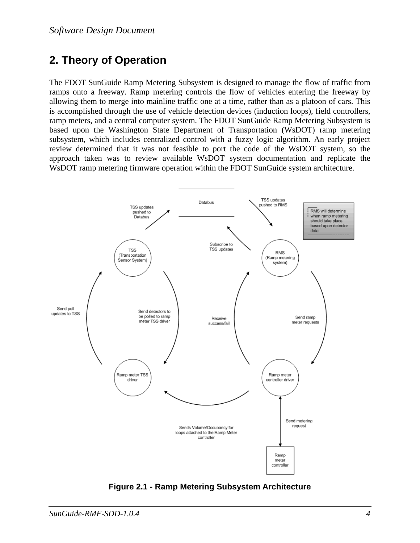### **2. Theory of Operation**

The FDOT SunGuide Ramp Metering Subsystem is designed to manage the flow of traffic from ramps onto a freeway. Ramp metering controls the flow of vehicles entering the freeway by allowing them to merge into mainline traffic one at a time, rather than as a platoon of cars. This is accomplished through the use of vehicle detection devices (induction loops), field controllers, ramp meters, and a central computer system. The FDOT SunGuide Ramp Metering Subsystem is based upon the Washington State Department of Transportation (WsDOT) ramp metering subsystem, which includes centralized control with a fuzzy logic algorithm. An early project review determined that it was not feasible to port the code of the WsDOT system, so the approach taken was to review available WsDOT system documentation and replicate the WsDOT ramp metering firmware operation within the FDOT SunGuide system architecture.



**Figure 2.1 - Ramp Metering Subsystem Architecture**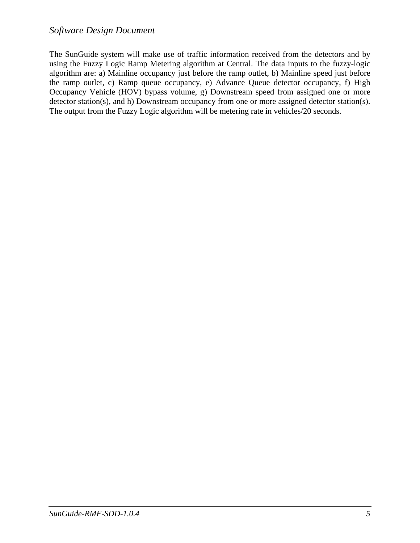The SunGuide system will make use of traffic information received from the detectors and by using the Fuzzy Logic Ramp Metering algorithm at Central. The data inputs to the fuzzy-logic algorithm are: a) Mainline occupancy just before the ramp outlet, b) Mainline speed just before the ramp outlet, c) Ramp queue occupancy, e) Advance Queue detector occupancy, f) High Occupancy Vehicle (HOV) bypass volume, g) Downstream speed from assigned one or more detector station(s), and h) Downstream occupancy from one or more assigned detector station(s). The output from the Fuzzy Logic algorithm will be metering rate in vehicles/20 seconds.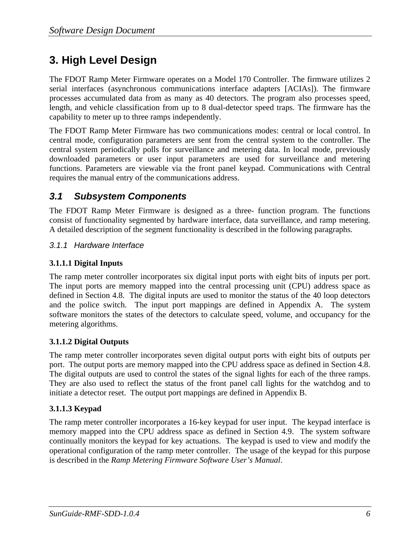### **3. High Level Design**

The FDOT Ramp Meter Firmware operates on a Model 170 Controller. The firmware utilizes 2 serial interfaces (asynchronous communications interface adapters [ACIAs]). The firmware processes accumulated data from as many as 40 detectors. The program also processes speed, length, and vehicle classification from up to 8 dual-detector speed traps. The firmware has the capability to meter up to three ramps independently.

The FDOT Ramp Meter Firmware has two communications modes: central or local control. In central mode, configuration parameters are sent from the central system to the controller. The central system periodically polls for surveillance and metering data. In local mode, previously downloaded parameters or user input parameters are used for surveillance and metering functions. Parameters are viewable via the front panel keypad. Communications with Central requires the manual entry of the communications address.

#### *3.1 Subsystem Components*

The FDOT Ramp Meter Firmware is designed as a three- function program. The functions consist of functionality segmented by hardware interface, data surveillance, and ramp metering. A detailed description of the segment functionality is described in the following paragraphs.

#### *3.1.1 Hardware Interface*

#### **3.1.1.1 Digital Inputs**

The ramp meter controller incorporates six digital input ports with eight bits of inputs per port. The input ports are memory mapped into the central processing unit (CPU) address space as defined in Section 4.8. The digital inputs are used to monitor the status of the 40 loop detectors and the police switch. The input port mappings are defined in Appendix A. The system software monitors the states of the detectors to calculate speed, volume, and occupancy for the metering algorithms.

#### **3.1.1.2 Digital Outputs**

The ramp meter controller incorporates seven digital output ports with eight bits of outputs per port. The output ports are memory mapped into the CPU address space as defined in Section 4.8. The digital outputs are used to control the states of the signal lights for each of the three ramps. They are also used to reflect the status of the front panel call lights for the watchdog and to initiate a detector reset. The output port mappings are defined in Appendix B.

#### **3.1.1.3 Keypad**

The ramp meter controller incorporates a 16-key keypad for user input. The keypad interface is memory mapped into the CPU address space as defined in Section 4.9. The system software continually monitors the keypad for key actuations. The keypad is used to view and modify the operational configuration of the ramp meter controller. The usage of the keypad for this purpose is described in the *Ramp Metering Firmware Software User's Manual*.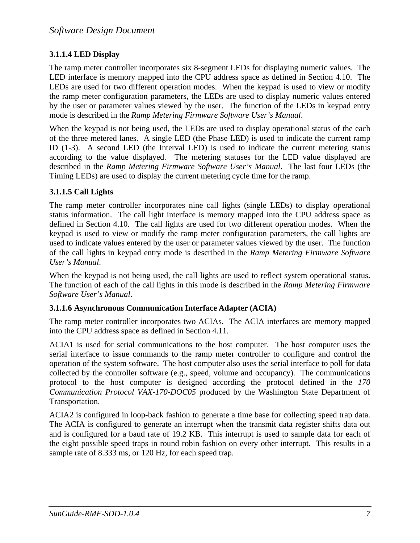#### **3.1.1.4 LED Display**

The ramp meter controller incorporates six 8-segment LEDs for displaying numeric values. The LED interface is memory mapped into the CPU address space as defined in Section 4.10. The LEDs are used for two different operation modes. When the keypad is used to view or modify the ramp meter configuration parameters, the LEDs are used to display numeric values entered by the user or parameter values viewed by the user. The function of the LEDs in keypad entry mode is described in the *Ramp Metering Firmware Software User's Manual*.

When the keypad is not being used, the LEDs are used to display operational status of the each of the three metered lanes. A single LED (the Phase LED) is used to indicate the current ramp ID (1-3). A second LED (the Interval LED) is used to indicate the current metering status according to the value displayed. The metering statuses for the LED value displayed are described in the *Ramp Metering Firmware Software User's Manual*. The last four LEDs (the Timing LEDs) are used to display the current metering cycle time for the ramp.

#### **3.1.1.5 Call Lights**

The ramp meter controller incorporates nine call lights (single LEDs) to display operational status information. The call light interface is memory mapped into the CPU address space as defined in Section 4.10. The call lights are used for two different operation modes. When the keypad is used to view or modify the ramp meter configuration parameters, the call lights are used to indicate values entered by the user or parameter values viewed by the user. The function of the call lights in keypad entry mode is described in the *Ramp Metering Firmware Software User's Manual*.

When the keypad is not being used, the call lights are used to reflect system operational status. The function of each of the call lights in this mode is described in the *Ramp Metering Firmware Software User's Manual*.

#### **3.1.1.6 Asynchronous Communication Interface Adapter (ACIA)**

The ramp meter controller incorporates two ACIAs. The ACIA interfaces are memory mapped into the CPU address space as defined in Section 4.11.

ACIA1 is used for serial communications to the host computer. The host computer uses the serial interface to issue commands to the ramp meter controller to configure and control the operation of the system software. The host computer also uses the serial interface to poll for data collected by the controller software (e.g., speed, volume and occupancy). The communications protocol to the host computer is designed according the protocol defined in the *170 Communication Protocol VAX-170-DOC05* produced by the Washington State Department of Transportation.

ACIA2 is configured in loop-back fashion to generate a time base for collecting speed trap data. The ACIA is configured to generate an interrupt when the transmit data register shifts data out and is configured for a baud rate of 19.2 KB. This interrupt is used to sample data for each of the eight possible speed traps in round robin fashion on every other interrupt. This results in a sample rate of 8.333 ms, or 120 Hz, for each speed trap.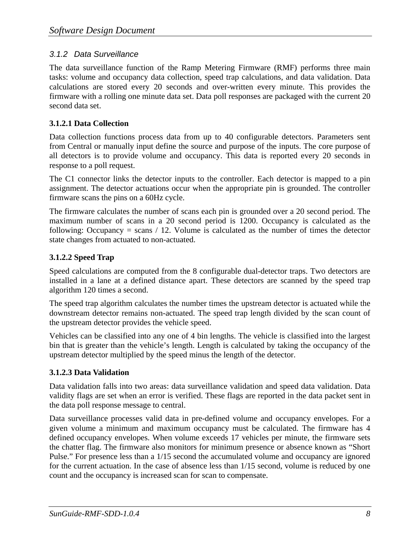#### *3.1.2 Data Surveillance*

The data surveillance function of the Ramp Metering Firmware (RMF) performs three main tasks: volume and occupancy data collection, speed trap calculations, and data validation. Data calculations are stored every 20 seconds and over-written every minute. This provides the firmware with a rolling one minute data set. Data poll responses are packaged with the current 20 second data set.

#### **3.1.2.1 Data Collection**

Data collection functions process data from up to 40 configurable detectors. Parameters sent from Central or manually input define the source and purpose of the inputs. The core purpose of all detectors is to provide volume and occupancy. This data is reported every 20 seconds in response to a poll request.

The C1 connector links the detector inputs to the controller. Each detector is mapped to a pin assignment. The detector actuations occur when the appropriate pin is grounded. The controller firmware scans the pins on a 60Hz cycle.

The firmware calculates the number of scans each pin is grounded over a 20 second period. The maximum number of scans in a 20 second period is 1200. Occupancy is calculated as the following: Occupancy  $=$  scans  $/$  12. Volume is calculated as the number of times the detector state changes from actuated to non-actuated.

#### **3.1.2.2 Speed Trap**

Speed calculations are computed from the 8 configurable dual-detector traps. Two detectors are installed in a lane at a defined distance apart. These detectors are scanned by the speed trap algorithm 120 times a second.

The speed trap algorithm calculates the number times the upstream detector is actuated while the downstream detector remains non-actuated. The speed trap length divided by the scan count of the upstream detector provides the vehicle speed.

Vehicles can be classified into any one of 4 bin lengths. The vehicle is classified into the largest bin that is greater than the vehicle's length. Length is calculated by taking the occupancy of the upstream detector multiplied by the speed minus the length of the detector.

#### **3.1.2.3 Data Validation**

Data validation falls into two areas: data surveillance validation and speed data validation. Data validity flags are set when an error is verified. These flags are reported in the data packet sent in the data poll response message to central.

Data surveillance processes valid data in pre-defined volume and occupancy envelopes. For a given volume a minimum and maximum occupancy must be calculated. The firmware has 4 defined occupancy envelopes. When volume exceeds 17 vehicles per minute, the firmware sets the chatter flag. The firmware also monitors for minimum presence or absence known as "Short Pulse." For presence less than a 1/15 second the accumulated volume and occupancy are ignored for the current actuation. In the case of absence less than 1/15 second, volume is reduced by one count and the occupancy is increased scan for scan to compensate.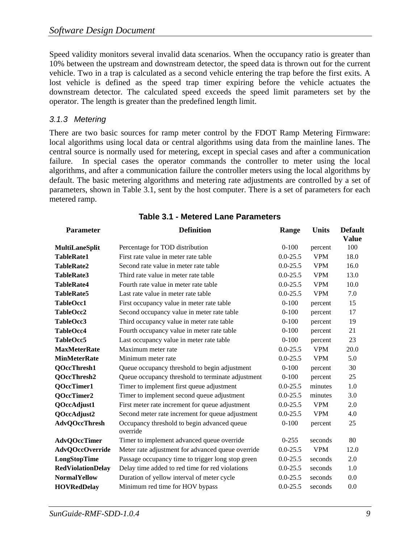Speed validity monitors several invalid data scenarios. When the occupancy ratio is greater than 10% between the upstream and downstream detector, the speed data is thrown out for the current vehicle. Two in a trap is calculated as a second vehicle entering the trap before the first exits. A lost vehicle is defined as the speed trap timer expiring before the vehicle actuates the downstream detector. The calculated speed exceeds the speed limit parameters set by the operator. The length is greater than the predefined length limit.

#### *3.1.3 Metering*

There are two basic sources for ramp meter control by the FDOT Ramp Metering Firmware: local algorithms using local data or central algorithms using data from the mainline lanes. The central source is normally used for metering, except in special cases and after a communication failure. In special cases the operator commands the controller to meter using the local algorithms, and after a communication failure the controller meters using the local algorithms by default. The basic metering algorithms and metering rate adjustments are controlled by a set of parameters, shown in Table 3.1, sent by the host computer. There is a set of parameters for each metered ramp.

| <b>Parameter</b>                                                            | <b>Definition</b>                                       | Range        | <b>Units</b> | <b>Default</b><br><b>Value</b> |  |
|-----------------------------------------------------------------------------|---------------------------------------------------------|--------------|--------------|--------------------------------|--|
| <b>MultiLaneSplit</b>                                                       | Percentage for TOD distribution                         | $0 - 100$    | percent      | 100                            |  |
| <b>TableRate1</b>                                                           | First rate value in meter rate table                    | $0.0 - 25.5$ | <b>VPM</b>   | 18.0                           |  |
| TableRate2                                                                  | Second rate value in meter rate table                   | $0.0 - 25.5$ | <b>VPM</b>   | 16.0                           |  |
| TableRate3                                                                  | Third rate value in meter rate table                    | $0.0 - 25.5$ | <b>VPM</b>   | 13.0                           |  |
| <b>TableRate4</b>                                                           | Fourth rate value in meter rate table                   | $0.0 - 25.5$ | <b>VPM</b>   | 10.0                           |  |
| <b>TableRate5</b>                                                           | Last rate value in meter rate table                     | $0.0 - 25.5$ | <b>VPM</b>   | 7.0                            |  |
| TableOcc1                                                                   | First occupancy value in meter rate table               | $0 - 100$    | percent      | 15                             |  |
| TableOcc2                                                                   | Second occupancy value in meter rate table              | $0-100$      | percent      | 17                             |  |
| TableOcc3                                                                   | Third occupancy value in meter rate table               | $0-100$      | percent      | 19                             |  |
| TableOcc4                                                                   | Fourth occupancy value in meter rate table              | $0-100$      | percent      | 21                             |  |
| TableOcc5                                                                   | Last occupancy value in meter rate table                | $0 - 100$    | percent      | 23                             |  |
| <b>MaxMeterRate</b>                                                         | Maximum meter rate                                      | $0.0 - 25.5$ | <b>VPM</b>   | 20.0                           |  |
| <b>MinMeterRate</b>                                                         | Minimum meter rate                                      | $0.0 - 25.5$ | <b>VPM</b>   | 5.0                            |  |
| QOccThresh1                                                                 | Queue occupancy threshold to begin adjustment           | $0 - 100$    | percent      | 30                             |  |
| <b>QOccThresh2</b>                                                          | Queue occupancy threshold to terminate adjustment       | $0 - 100$    | percent      | 25                             |  |
| <b>QOccTimer1</b>                                                           | Timer to implement first queue adjustment               | $0.0 - 25.5$ | minutes      | 1.0                            |  |
| <b>QOccTimer2</b>                                                           | Timer to implement second queue adjustment              | $0.0 - 25.5$ | minutes      | 3.0                            |  |
| QOccAdjust1                                                                 | First meter rate increment for queue adjustment         | $0.0 - 25.5$ | <b>VPM</b>   | 2.0                            |  |
| QOccAdjust2                                                                 | Second meter rate increment for queue adjustment        | $0.0 - 25.5$ | <b>VPM</b>   | 4.0                            |  |
| <b>AdvQOccThresh</b>                                                        | Occupancy threshold to begin advanced queue<br>override | $0 - 100$    | percent      | 25                             |  |
| <b>AdvQOccTimer</b>                                                         | Timer to implement advanced queue override              | $0 - 255$    | seconds      | 80                             |  |
| <b>AdvQOccOverride</b>                                                      | Meter rate adjustment for advanced queue override       | $0.0 - 25.5$ | <b>VPM</b>   | 12.0                           |  |
| LongStopTime                                                                | Passage occupancy time to trigger long stop green       | $0.0 - 25.5$ | seconds      | 2.0                            |  |
| Delay time added to red time for red violations<br><b>RedViolationDelay</b> |                                                         | $0.0 - 25.5$ | seconds      | 1.0                            |  |
| <b>NormalYellow</b>                                                         | Duration of yellow interval of meter cycle              | $0.0 - 25.5$ | seconds      | 0.0                            |  |
| Minimum red time for HOV bypass<br><b>HOVRedDelay</b>                       |                                                         | $0.0 - 25.5$ | seconds      | 0.0                            |  |

#### **Table 3.1 - Metered Lane Parameters**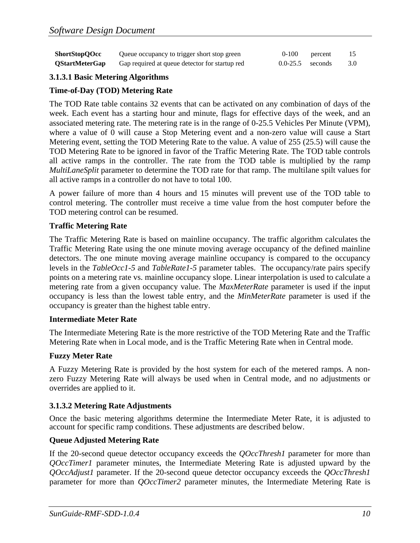| <b>ShortStopQOcc</b>  | Queue occupancy to trigger short stop green    | 0-100                | percent | 15  |
|-----------------------|------------------------------------------------|----------------------|---------|-----|
| <b>QStartMeterGap</b> | Gap required at queue detector for startup red | $0.0 - 25.5$ seconds |         | 3.0 |

#### **3.1.3.1 Basic Metering Algorithms**

#### **Time-of-Day (TOD) Metering Rate**

The TOD Rate table contains 32 events that can be activated on any combination of days of the week. Each event has a starting hour and minute, flags for effective days of the week, and an associated metering rate. The metering rate is in the range of 0-25.5 Vehicles Per Minute (VPM), where a value of 0 will cause a Stop Metering event and a non-zero value will cause a Start Metering event, setting the TOD Metering Rate to the value. A value of 255 (25.5) will cause the TOD Metering Rate to be ignored in favor of the Traffic Metering Rate. The TOD table controls all active ramps in the controller. The rate from the TOD table is multiplied by the ramp *MultiLaneSplit* parameter to determine the TOD rate for that ramp. The multilane spilt values for all active ramps in a controller do not have to total 100.

A power failure of more than 4 hours and 15 minutes will prevent use of the TOD table to control metering. The controller must receive a time value from the host computer before the TOD metering control can be resumed.

#### **Traffic Metering Rate**

The Traffic Metering Rate is based on mainline occupancy. The traffic algorithm calculates the Traffic Metering Rate using the one minute moving average occupancy of the defined mainline detectors. The one minute moving average mainline occupancy is compared to the occupancy levels in the *TableOcc1-5* and *TableRate1-5* parameter tables. The occupancy/rate pairs specify points on a metering rate vs. mainline occupancy slope. Linear interpolation is used to calculate a metering rate from a given occupancy value. The *MaxMeterRate* parameter is used if the input occupancy is less than the lowest table entry, and the *MinMeterRate* parameter is used if the occupancy is greater than the highest table entry.

#### **Intermediate Meter Rate**

The Intermediate Metering Rate is the more restrictive of the TOD Metering Rate and the Traffic Metering Rate when in Local mode, and is the Traffic Metering Rate when in Central mode.

#### **Fuzzy Meter Rate**

A Fuzzy Metering Rate is provided by the host system for each of the metered ramps. A nonzero Fuzzy Metering Rate will always be used when in Central mode, and no adjustments or overrides are applied to it.

#### **3.1.3.2 Metering Rate Adjustments**

Once the basic metering algorithms determine the Intermediate Meter Rate, it is adjusted to account for specific ramp conditions. These adjustments are described below.

#### **Queue Adjusted Metering Rate**

If the 20-second queue detector occupancy exceeds the *QOccThresh1* parameter for more than *QOccTimer1* parameter minutes, the Intermediate Metering Rate is adjusted upward by the *QOccAdjust1* parameter. If the 20-second queue detector occupancy exceeds the *QOccThresh1* parameter for more than *QOccTimer2* parameter minutes, the Intermediate Metering Rate is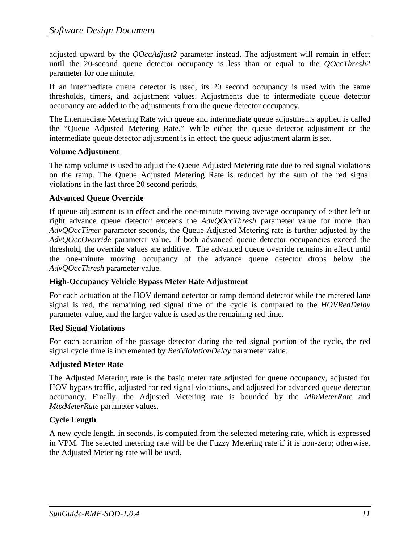adjusted upward by the *QOccAdjust2* parameter instead. The adjustment will remain in effect until the 20-second queue detector occupancy is less than or equal to the *QOccThresh2* parameter for one minute.

If an intermediate queue detector is used, its 20 second occupancy is used with the same thresholds, timers, and adjustment values. Adjustments due to intermediate queue detector occupancy are added to the adjustments from the queue detector occupancy.

The Intermediate Metering Rate with queue and intermediate queue adjustments applied is called the "Queue Adjusted Metering Rate." While either the queue detector adjustment or the intermediate queue detector adjustment is in effect, the queue adjustment alarm is set.

#### **Volume Adjustment**

The ramp volume is used to adjust the Queue Adjusted Metering rate due to red signal violations on the ramp. The Queue Adjusted Metering Rate is reduced by the sum of the red signal violations in the last three 20 second periods.

#### **Advanced Queue Override**

If queue adjustment is in effect and the one-minute moving average occupancy of either left or right advance queue detector exceeds the *AdvQOccThresh* parameter value for more than *AdvQOccTimer* parameter seconds, the Queue Adjusted Metering rate is further adjusted by the *AdvQOccOverride* parameter value. If both advanced queue detector occupancies exceed the threshold, the override values are additive. The advanced queue override remains in effect until the one-minute moving occupancy of the advance queue detector drops below the *AdvQOccThresh* parameter value.

#### **High-Occupancy Vehicle Bypass Meter Rate Adjustment**

For each actuation of the HOV demand detector or ramp demand detector while the metered lane signal is red, the remaining red signal time of the cycle is compared to the *HOVRedDelay* parameter value, and the larger value is used as the remaining red time.

#### **Red Signal Violations**

For each actuation of the passage detector during the red signal portion of the cycle, the red signal cycle time is incremented by *RedViolationDelay* parameter value.

#### **Adjusted Meter Rate**

The Adjusted Metering rate is the basic meter rate adjusted for queue occupancy, adjusted for HOV bypass traffic, adjusted for red signal violations, and adjusted for advanced queue detector occupancy. Finally, the Adjusted Metering rate is bounded by the *MinMeterRate* and *MaxMeterRate* parameter values.

#### **Cycle Length**

A new cycle length, in seconds, is computed from the selected metering rate, which is expressed in VPM. The selected metering rate will be the Fuzzy Metering rate if it is non-zero; otherwise, the Adjusted Metering rate will be used.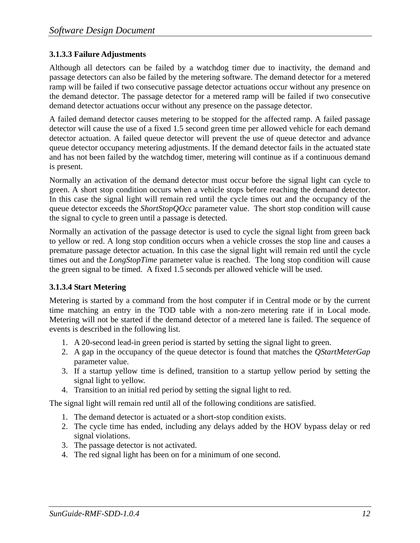#### **3.1.3.3 Failure Adjustments**

Although all detectors can be failed by a watchdog timer due to inactivity, the demand and passage detectors can also be failed by the metering software. The demand detector for a metered ramp will be failed if two consecutive passage detector actuations occur without any presence on the demand detector. The passage detector for a metered ramp will be failed if two consecutive demand detector actuations occur without any presence on the passage detector.

A failed demand detector causes metering to be stopped for the affected ramp. A failed passage detector will cause the use of a fixed 1.5 second green time per allowed vehicle for each demand detector actuation. A failed queue detector will prevent the use of queue detector and advance queue detector occupancy metering adjustments. If the demand detector fails in the actuated state and has not been failed by the watchdog timer, metering will continue as if a continuous demand is present.

Normally an activation of the demand detector must occur before the signal light can cycle to green. A short stop condition occurs when a vehicle stops before reaching the demand detector. In this case the signal light will remain red until the cycle times out and the occupancy of the queue detector exceeds the *ShortStopQOcc* parameter value. The short stop condition will cause the signal to cycle to green until a passage is detected.

Normally an activation of the passage detector is used to cycle the signal light from green back to yellow or red. A long stop condition occurs when a vehicle crosses the stop line and causes a premature passage detector actuation. In this case the signal light will remain red until the cycle times out and the *LongStopTime* parameter value is reached. The long stop condition will cause the green signal to be timed. A fixed 1.5 seconds per allowed vehicle will be used.

#### **3.1.3.4 Start Metering**

Metering is started by a command from the host computer if in Central mode or by the current time matching an entry in the TOD table with a non-zero metering rate if in Local mode. Metering will not be started if the demand detector of a metered lane is failed. The sequence of events is described in the following list.

- 1. A 20-second lead-in green period is started by setting the signal light to green.
- 2. A gap in the occupancy of the queue detector is found that matches the *QStartMeterGap* parameter value.
- 3. If a startup yellow time is defined, transition to a startup yellow period by setting the signal light to yellow.
- 4. Transition to an initial red period by setting the signal light to red.

The signal light will remain red until all of the following conditions are satisfied.

- 1. The demand detector is actuated or a short-stop condition exists.
- 2. The cycle time has ended, including any delays added by the HOV bypass delay or red signal violations.
- 3. The passage detector is not activated.
- 4. The red signal light has been on for a minimum of one second.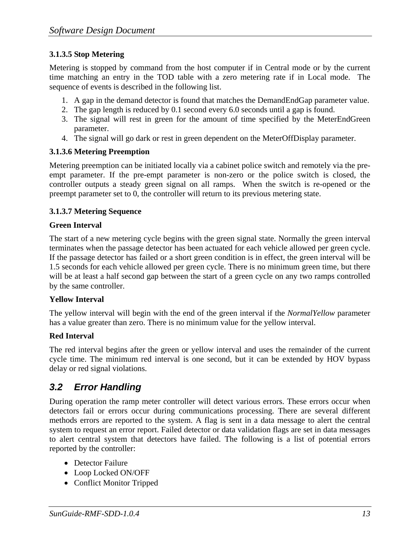#### **3.1.3.5 Stop Metering**

Metering is stopped by command from the host computer if in Central mode or by the current time matching an entry in the TOD table with a zero metering rate if in Local mode. The sequence of events is described in the following list.

- 1. A gap in the demand detector is found that matches the DemandEndGap parameter value.
- 2. The gap length is reduced by 0.1 second every 6.0 seconds until a gap is found.
- 3. The signal will rest in green for the amount of time specified by the MeterEndGreen parameter.
- 4. The signal will go dark or rest in green dependent on the MeterOffDisplay parameter.

#### **3.1.3.6 Metering Preemption**

Metering preemption can be initiated locally via a cabinet police switch and remotely via the preempt parameter. If the pre-empt parameter is non-zero or the police switch is closed, the controller outputs a steady green signal on all ramps. When the switch is re-opened or the preempt parameter set to 0, the controller will return to its previous metering state.

#### **3.1.3.7 Metering Sequence**

#### **Green Interval**

The start of a new metering cycle begins with the green signal state. Normally the green interval terminates when the passage detector has been actuated for each vehicle allowed per green cycle. If the passage detector has failed or a short green condition is in effect, the green interval will be 1.5 seconds for each vehicle allowed per green cycle. There is no minimum green time, but there will be at least a half second gap between the start of a green cycle on any two ramps controlled by the same controller.

#### **Yellow Interval**

The yellow interval will begin with the end of the green interval if the *NormalYellow* parameter has a value greater than zero. There is no minimum value for the yellow interval.

#### **Red Interval**

The red interval begins after the green or yellow interval and uses the remainder of the current cycle time. The minimum red interval is one second, but it can be extended by HOV bypass delay or red signal violations.

### *3.2 Error Handling*

 During operation the ramp meter controller will detect various errors. These errors occur when detectors fail or errors occur during communications processing. There are several different methods errors are reported to the system. A flag is sent in a data message to alert the central system to request an error report. Failed detector or data validation flags are set in data messages to alert central system that detectors have failed. The following is a list of potential errors reported by the controller:

- Detector Failure
- Loop Locked ON/OFF
- Conflict Monitor Tripped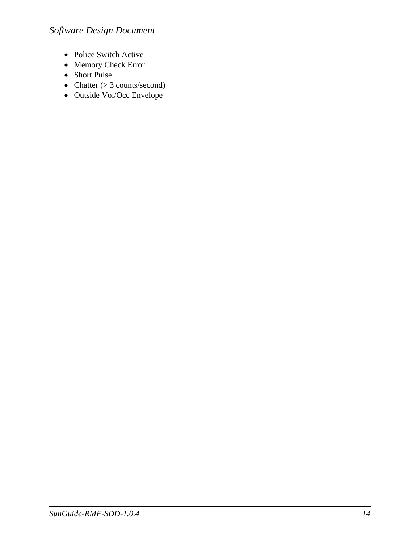- Police Switch Active
- Memory Check Error
- Short Pulse
- Chatter  $(> 3$  counts/second)
- Outside Vol/Occ Envelope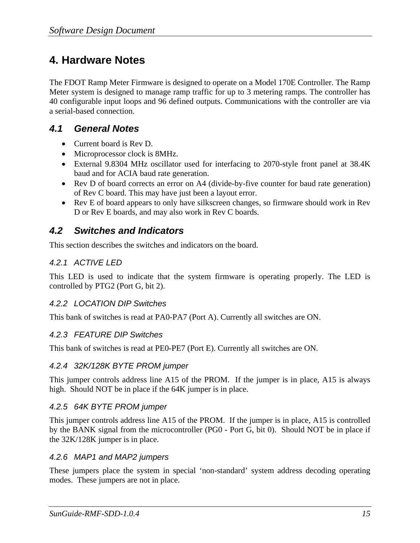### **4. Hardware Notes**

The FDOT Ramp Meter Firmware is designed to operate on a Model 170E Controller. The Ramp Meter system is designed to manage ramp traffic for up to 3 metering ramps. The controller has 40 configurable input loops and 96 defined outputs. Communications with the controller are via a serial-based connection.

#### *4.1 General Notes*

- Current board is Rev D.
- Microprocessor clock is 8MHz.
- External 9.8304 MHz oscillator used for interfacing to 2070-style front panel at 38.4K baud and for ACIA baud rate generation.
- Rev D of board corrects an error on A4 (divide-by-five counter for baud rate generation) of Rev C board. This may have just been a layout error.
- Rev E of board appears to only have silkscreen changes, so firmware should work in Rev D or Rev E boards, and may also work in Rev C boards.

#### *4.2 Switches and Indicators*

This section describes the switches and indicators on the board.

#### *4.2.1 ACTIVE LED*

This LED is used to indicate that the system firmware is operating properly. The LED is controlled by PTG2 (Port G, bit 2).

#### *4.2.2 LOCATION DIP Switches*

This bank of switches is read at PA0-PA7 (Port A). Currently all switches are ON.

#### *4.2.3 FEATURE DIP Switches*

This bank of switches is read at PE0-PE7 (Port E). Currently all switches are ON.

#### *4.2.4 32K/128K BYTE PROM jumper*

This jumper controls address line A15 of the PROM. If the jumper is in place, A15 is always high. Should NOT be in place if the 64K jumper is in place.

#### *4.2.5 64K BYTE PROM jumper*

This jumper controls address line A15 of the PROM. If the jumper is in place, A15 is controlled by the BANK signal from the microcontroller (PG0 - Port G, bit 0). Should NOT be in place if the 32K/128K jumper is in place.

#### *4.2.6 MAP1 and MAP2 jumpers*

These jumpers place the system in special 'non-standard' system address decoding operating modes. These jumpers are not in place.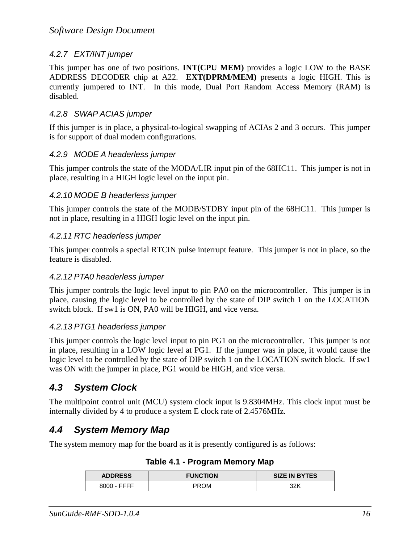#### *4.2.7 EXT/INT jumper*

This jumper has one of two positions. **INT(CPU MEM)** provides a logic LOW to the BASE ADDRESS DECODER chip at A22. **EXT(DPRM/MEM)** presents a logic HIGH. This is currently jumpered to INT. In this mode, Dual Port Random Access Memory (RAM) is disabled.

#### *4.2.8 SWAP ACIAS jumper*

If this jumper is in place, a physical-to-logical swapping of ACIAs 2 and 3 occurs. This jumper is for support of dual modem configurations.

#### *4.2.9 MODE A headerless jumper*

This jumper controls the state of the MODA/LIR input pin of the 68HC11. This jumper is not in place, resulting in a HIGH logic level on the input pin.

#### *4.2.10 MODE B headerless jumper*

This jumper controls the state of the MODB/STDBY input pin of the 68HC11. This jumper is not in place, resulting in a HIGH logic level on the input pin.

#### *4.2.11 RTC headerless jumper*

This jumper controls a special RTCIN pulse interrupt feature. This jumper is not in place, so the feature is disabled.

#### *4.2.12 PTA0 headerless jumper*

This jumper controls the logic level input to pin PA0 on the microcontroller. This jumper is in place, causing the logic level to be controlled by the state of DIP switch 1 on the LOCATION switch block. If sw1 is ON, PA0 will be HIGH, and vice versa.

#### *4.2.13 PTG1 headerless jumper*

This jumper controls the logic level input to pin PG1 on the microcontroller. This jumper is not in place, resulting in a LOW logic level at PG1. If the jumper was in place, it would cause the logic level to be controlled by the state of DIP switch 1 on the LOCATION switch block. If sw1 was ON with the jumper in place, PG1 would be HIGH, and vice versa.

### *4.3 System Clock*

The multipoint control unit (MCU) system clock input is 9.8304MHz. This clock input must be internally divided by 4 to produce a system E clock rate of 2.4576MHz.

### *4.4 System Memory Map*

The system memory map for the board as it is presently configured is as follows:

| <b>ADDRESS</b> | <b>FUNCTION</b> | <b>SIZE IN BYTES</b> |
|----------------|-----------------|----------------------|
| 8000 - FFFF    | PROM            | 32K                  |

**Table 4.1 - Program Memory Map**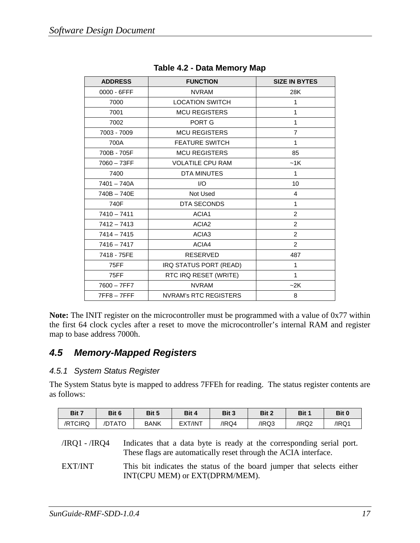| <b>ADDRESS</b> | <b>FUNCTION</b>              | <b>SIZE IN BYTES</b> |
|----------------|------------------------------|----------------------|
| 0000 - 6FFF    | <b>NVRAM</b>                 | 28K                  |
| 7000           | <b>LOCATION SWITCH</b>       | $\mathbf{1}$         |
| 7001           | <b>MCU REGISTERS</b>         | 1                    |
| 7002           | PORT G                       | 1                    |
| 7003 - 7009    | <b>MCU REGISTERS</b>         | $\overline{7}$       |
| 700A           | <b>FEATURE SWITCH</b>        | $\mathbf{1}$         |
| 700B - 705F    | <b>MCU REGISTERS</b>         | 85                   |
| $7060 - 73FF$  | <b>VOLATILE CPU RAM</b>      | ~1K                  |
| 7400           | <b>DTA MINUTES</b>           | $\mathbf{1}$         |
| $7401 - 740A$  | I/O                          | 10                   |
| 740B-740E      | Not Used                     | 4                    |
| 740F           | DTA SECONDS                  | $\mathbf{1}$         |
| $7410 - 7411$  | ACIA1                        | 2                    |
| $7412 - 7413$  | ACIA <sub>2</sub>            | 2                    |
| $7414 - 7415$  | ACIA <sub>3</sub>            | $\overline{2}$       |
| $7416 - 7417$  | ACIA4                        | $\overline{2}$       |
| 7418 - 75FE    | <b>RESERVED</b>              | 487                  |
| <b>75FF</b>    | IRQ STATUS PORT (READ)       | 1                    |
| 75FF           | RTC IRQ RESET (WRITE)        | $\mathbf{1}$         |
| $7600 - 7FF7$  | <b>NVRAM</b>                 | $-2K$                |
| $7FF8 - 7FFF$  | <b>NVRAM's RTC REGISTERS</b> | 8                    |

|  | Table 4.2 - Data Memory Map |  |
|--|-----------------------------|--|
|  |                             |  |

**Note:** The INIT register on the microcontroller must be programmed with a value of 0x77 within the first 64 clock cycles after a reset to move the microcontroller's internal RAM and register map to base address 7000h.

#### *4.5 Memory-Mapped Registers*

#### *4.5.1 System Status Register*

The System Status byte is mapped to address 7FFEh for reading. The status register contents are as follows:

| Bit 7   | Bit 6  | Bit 5 | Bit 4   | Bit 3 | Bit 2 | Bit 1 | Bit 0 |
|---------|--------|-------|---------|-------|-------|-------|-------|
| /RTCIRQ | /DTATO | BANK  | EXT/INT | /IRQ4 | /IRQ3 | /IRQ2 | /IRQ1 |

- /IRQ1 /IRQ4 Indicates that a data byte is ready at the corresponding serial port. These flags are automatically reset through the ACIA interface.
- EXT/INT This bit indicates the status of the board jumper that selects either INT(CPU MEM) or EXT(DPRM/MEM).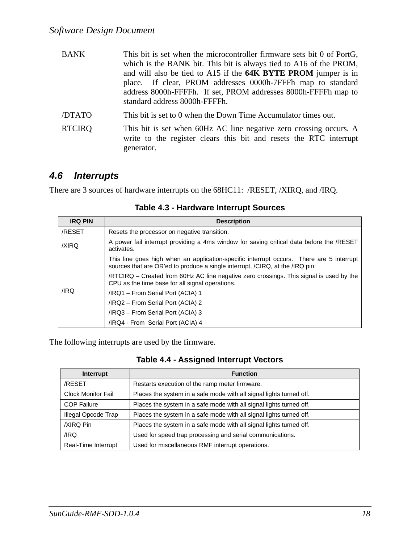| <b>BANK</b>   | This bit is set when the microcontroller firmware sets bit 0 of PortG,<br>which is the BANK bit. This bit is always tied to A16 of the PROM,<br>and will also be tied to A15 if the 64K BYTE PROM jumper is in<br>place. If clear, PROM addresses 0000h-7FFFh map to standard<br>address 8000h-FFFFh. If set, PROM addresses 8000h-FFFFh map to<br>standard address 8000h-FFFFh. |
|---------------|----------------------------------------------------------------------------------------------------------------------------------------------------------------------------------------------------------------------------------------------------------------------------------------------------------------------------------------------------------------------------------|
| /DTATO        | This bit is set to 0 when the Down Time Accumulator times out.                                                                                                                                                                                                                                                                                                                   |
| <b>RTCIRQ</b> | This bit is set when 60Hz AC line negative zero crossing occurs. A<br>write to the register clears this bit and resets the RTC interrupt<br>generator.                                                                                                                                                                                                                           |

### *4.6 Interrupts*

There are 3 sources of hardware interrupts on the 68HC11: /RESET, /XIRQ, and /IRQ.

| <b>IRQ PIN</b> | <b>Description</b>                                                                                                                                                        |  |  |  |  |  |  |
|----------------|---------------------------------------------------------------------------------------------------------------------------------------------------------------------------|--|--|--|--|--|--|
| /RESET         | Resets the processor on negative transition.                                                                                                                              |  |  |  |  |  |  |
| /XIRQ          | A power fail interrupt providing a 4ms window for saving critical data before the /RESET<br>activates.                                                                    |  |  |  |  |  |  |
|                | This line goes high when an application-specific interrupt occurs. There are 5 interrupt<br>sources that are OR'ed to produce a single interrupt, /CIRQ, at the /IRQ pin: |  |  |  |  |  |  |
|                | /RTCIRQ – Created from 60Hz AC line negative zero crossings. This signal is used by the<br>CPU as the time base for all signal operations.                                |  |  |  |  |  |  |
| /IRQ           | /IRQ1 - From Serial Port (ACIA) 1                                                                                                                                         |  |  |  |  |  |  |
|                | /IRQ2 – From Serial Port (ACIA) 2                                                                                                                                         |  |  |  |  |  |  |
|                | /IRQ3 - From Serial Port (ACIA) 3                                                                                                                                         |  |  |  |  |  |  |
|                | /IRQ4 - From Serial Port (ACIA) 4                                                                                                                                         |  |  |  |  |  |  |

**Table 4.3 - Hardware Interrupt Sources** 

The following interrupts are used by the firmware.

|  | <b>Table 4.4 - Assigned Interrupt Vectors</b> |  |  |
|--|-----------------------------------------------|--|--|
|--|-----------------------------------------------|--|--|

| Interrupt                 | <b>Function</b>                                                     |
|---------------------------|---------------------------------------------------------------------|
| /RESET                    | Restarts execution of the ramp meter firmware.                      |
| <b>Clock Monitor Fail</b> | Places the system in a safe mode with all signal lights turned off. |
| <b>COP Failure</b>        | Places the system in a safe mode with all signal lights turned off. |
| Illegal Opcode Trap       | Places the system in a safe mode with all signal lights turned off. |
| /XIRQ Pin                 | Places the system in a safe mode with all signal lights turned off. |
| /IRQ                      | Used for speed trap processing and serial communications.           |
| Real-Time Interrupt       | Used for miscellaneous RMF interrupt operations.                    |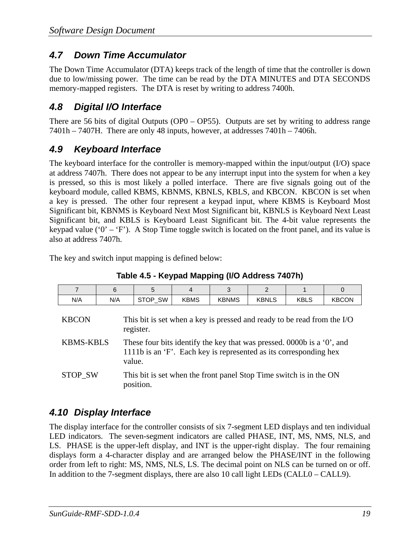### *4.7 Down Time Accumulator*

The Down Time Accumulator (DTA) keeps track of the length of time that the controller is down due to low/missing power. The time can be read by the DTA MINUTES and DTA SECONDS memory-mapped registers. The DTA is reset by writing to address 7400h.

### *4.8 Digital I/O Interface*

There are 56 bits of digital Outputs (OP0 – OP55). Outputs are set by writing to address range 7401h – 7407H. There are only 48 inputs, however, at addresses 7401h – 7406h.

### *4.9 Keyboard Interface*

The keyboard interface for the controller is memory-mapped within the input/output (I/O) space at address 7407h. There does not appear to be any interrupt input into the system for when a key is pressed, so this is most likely a polled interface. There are five signals going out of the keyboard module, called KBMS, KBNMS, KBNLS, KBLS, and KBCON. KBCON is set when a key is pressed. The other four represent a keypad input, where KBMS is Keyboard Most Significant bit, KBNMS is Keyboard Next Most Significant bit, KBNLS is Keyboard Next Least Significant bit, and KBLS is Keyboard Least Significant bit. The 4-bit value represents the keypad value ( $0^{\circ}$  –  $\prime$ F). A Stop Time toggle switch is located on the front panel, and its value is also at address 7407h.

The key and switch input mapping is defined below:

| 7                                                                                                    | 6   | 5                                                                                                                                                     | $\overline{4}$ | 3            | $\mathfrak{p}$ |             | $\Omega$     |  |
|------------------------------------------------------------------------------------------------------|-----|-------------------------------------------------------------------------------------------------------------------------------------------------------|----------------|--------------|----------------|-------------|--------------|--|
| N/A                                                                                                  | N/A | STOP_SW                                                                                                                                               | <b>KBMS</b>    | <b>KBNMS</b> | <b>KBNLS</b>   | <b>KBLS</b> | <b>KBCON</b> |  |
| This bit is set when a key is pressed and ready to be read from the I/O<br><b>KBCON</b><br>register. |     |                                                                                                                                                       |                |              |                |             |              |  |
| <b>KBMS-KBLS</b>                                                                                     |     | These four bits identify the key that was pressed. 0000b is a '0', and<br>1111b is an 'F'. Each key is represented as its corresponding hex<br>value. |                |              |                |             |              |  |
| <b>STOP SW</b>                                                                                       |     | This bit is set when the front panel Stop Time switch is in the ON<br>position.                                                                       |                |              |                |             |              |  |

### *4.10 Display Interface*

The display interface for the controller consists of six 7-segment LED displays and ten individual LED indicators. The seven-segment indicators are called PHASE, INT, MS, NMS, NLS, and LS. PHASE is the upper-left display, and INT is the upper-right display. The four remaining displays form a 4-character display and are arranged below the PHASE/INT in the following order from left to right: MS, NMS, NLS, LS. The decimal point on NLS can be turned on or off. In addition to the 7-segment displays, there are also 10 call light LEDs (CALL0 – CALL9).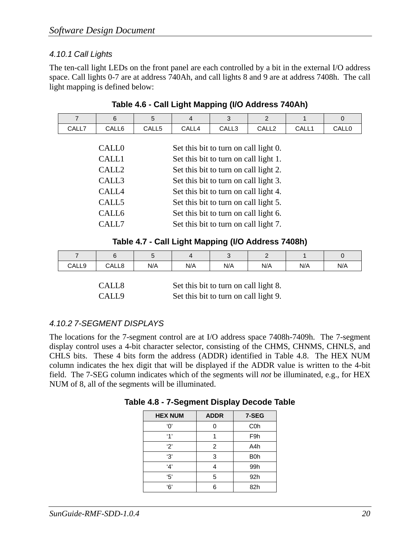#### *4.10.1 Call Lights*

The ten-call light LEDs on the front panel are each controlled by a bit in the external I/O address space. Call lights 0-7 are at address 740Ah, and call lights 8 and 9 are at address 7408h. The call light mapping is defined below:

| 7     | 6                 | 5                                     | $\overline{4}$ | 3                                     | $\mathcal{P}$     | 1     | $\mathbf 0$  |
|-------|-------------------|---------------------------------------|----------------|---------------------------------------|-------------------|-------|--------------|
| CALL7 | CALL6             | CALL <sub>5</sub>                     | CALL4          | CALL3                                 | CALL <sub>2</sub> | CALL1 | <b>CALL0</b> |
|       |                   |                                       |                |                                       |                   |       |              |
|       | <b>CALLO</b>      |                                       |                | Set this bit to turn on call light 0. |                   |       |              |
|       | CALL1             | Set this bit to turn on call light 1. |                |                                       |                   |       |              |
|       | CALL <sub>2</sub> | Set this bit to turn on call light 2. |                |                                       |                   |       |              |
|       | CALL3             | Set this bit to turn on call light 3. |                |                                       |                   |       |              |
|       | CALL4             | Set this bit to turn on call light 4. |                |                                       |                   |       |              |
|       | CALL <sub>5</sub> | Set this bit to turn on call light 5. |                |                                       |                   |       |              |
|       | CALL <sub>6</sub> | Set this bit to turn on call light 6. |                |                                       |                   |       |              |
|       | CALL7             |                                       |                | Set this bit to turn on call light 7. |                   |       |              |

#### **Table 4.6 - Call Light Mapping (I/O Address 740Ah)**

**Table 4.7 - Call Light Mapping (I/O Address 7408h)** 

|       |       |     |     | ັ   |     |     | ັ   |
|-------|-------|-----|-----|-----|-----|-----|-----|
| CALL9 | CALL8 | N/A | N/A | N/A | N/A | N/A | N/A |
|       |       |     |     |     |     |     |     |

| CALL8 | Set this bit to turn on call light 8. |
|-------|---------------------------------------|
| CALL9 | Set this bit to turn on call light 9. |

#### *4.10.2 7-SEGMENT DISPLAYS*

The locations for the 7-segment control are at I/O address space 7408h-7409h. The 7-segment display control uses a 4-bit character selector, consisting of the CHMS, CHNMS, CHNLS, and CHLS bits. These 4 bits form the address (ADDR) identified in Table 4.8. The HEX NUM column indicates the hex digit that will be displayed if the ADDR value is written to the 4-bit field. The 7-SEG column indicates which of the segments will *not* be illuminated, e.g., for HEX NUM of 8, all of the segments will be illuminated.

| <b>HEX NUM</b> | <b>ADDR</b> | 7-SEG            |
|----------------|-------------|------------------|
| 'በ'            |             | C <sub>0</sub> h |
| $^{\prime}$ 1' |             | F <sub>9</sub> h |
| 2'             | 2           | A4h              |
| '3'            | 3           | B <sub>0</sub> h |
| '4'            | 4           | 99h              |
| '5'            | 5           | 92h              |
| '6'            | 6           | 82h              |

**Table 4.8 - 7-Segment Display Decode Table**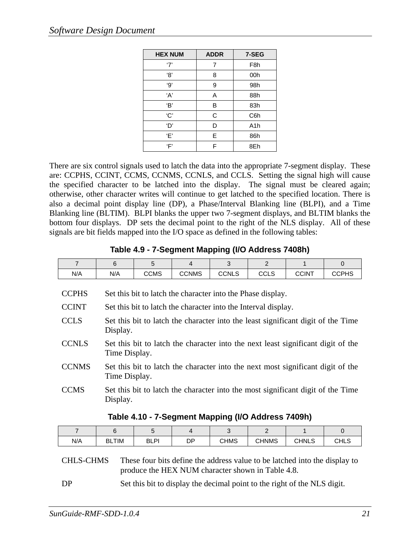| <b>HEX NUM</b> | <b>ADDR</b> | 7-SEG            |
|----------------|-------------|------------------|
| $\cdot 7$      | 7           | F <sub>8</sub> h |
| '8'            | 8           | 00h              |
| '9'            | 9           | 98h              |
| 'A'            | A           | 88h              |
| 'B'            | B           | 83h              |
| 'C'            | С           | C6h              |
| 'D'            | D           | A <sub>1</sub> h |
| Έ'             | E           | 86h              |
| ʻF'            | F           | 8Eh              |

There are six control signals used to latch the data into the appropriate 7-segment display. These are: CCPHS, CCINT, CCMS, CCNMS, CCNLS, and CCLS. Setting the signal high will cause the specified character to be latched into the display. The signal must be cleared again; otherwise, other character writes will continue to get latched to the specified location. There is also a decimal point display line (DP), a Phase/Interval Blanking line (BLPI), and a Time Blanking line (BLTIM). BLPI blanks the upper two 7-segment displays, and BLTIM blanks the bottom four displays. DP sets the decimal point to the right of the NLS display. All of these signals are bit fields mapped into the I/O space as defined in the following tables:

| $\overline{7}$ | 6                                                           | 5                                                                                                 | 4            | 3            | $\mathcal{P}$ |              | $\Omega$     |  |  |  |
|----------------|-------------------------------------------------------------|---------------------------------------------------------------------------------------------------|--------------|--------------|---------------|--------------|--------------|--|--|--|
| N/A            | N/A                                                         | <b>CCMS</b>                                                                                       | <b>CCNMS</b> | <b>CCNLS</b> | <b>CCLS</b>   | <b>CCINT</b> | <b>CCPHS</b> |  |  |  |
| <b>CCPHS</b>   | Set this bit to latch the character into the Phase display. |                                                                                                   |              |              |               |              |              |  |  |  |
| <b>CCINT</b>   |                                                             | Set this bit to latch the character into the Interval display.                                    |              |              |               |              |              |  |  |  |
| <b>CCLS</b>    | Display.                                                    | Set this bit to latch the character into the least significant digit of the Time                  |              |              |               |              |              |  |  |  |
| <b>CCNLS</b>   |                                                             | Set this bit to latch the character into the next least significant digit of the<br>Time Display. |              |              |               |              |              |  |  |  |
| <b>CCNMS</b>   |                                                             | Set this bit to latch the character into the next most significant digit of the<br>Time Display.  |              |              |               |              |              |  |  |  |
| <b>CCMS</b>    | Display.                                                    | Set this bit to latch the character into the most significant digit of the Time                   |              |              |               |              |              |  |  |  |
|                | Table 4.10 - 7-Segment Mapping (I/O Address 7409h)          |                                                                                                   |              |              |               |              |              |  |  |  |

#### **Table 4.9 - 7-Segment Mapping (I/O Address 7408h)**

| N/A | TIM<br><b>BL</b> | <b>BLPI</b> | DP | <b>CHMS</b> | <b>CHNMS</b> | CHNLS | <b>CHLS</b> |
|-----|------------------|-------------|----|-------------|--------------|-------|-------------|

#### CHLS-CHMS These four bits define the address value to be latched into the display to produce the HEX NUM character shown in Table 4.8.

DP Set this bit to display the decimal point to the right of the NLS digit.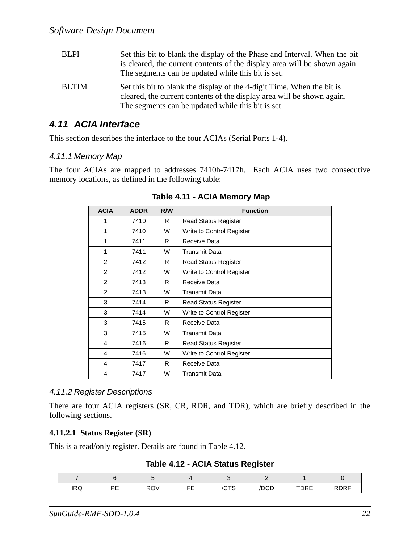| <b>BLPI</b>  | Set this bit to blank the display of the Phase and Interval. When the bit<br>is cleared, the current contents of the display area will be shown again.<br>The segments can be updated while this bit is set. |
|--------------|--------------------------------------------------------------------------------------------------------------------------------------------------------------------------------------------------------------|
| <b>BLTIM</b> | Set this bit to blank the display of the 4-digit Time. When the bit is<br>cleared, the current contents of the display area will be shown again.<br>The segments can be updated while this bit is set.       |

#### *4.11 ACIA Interface*

This section describes the interface to the four ACIAs (Serial Ports 1-4).

#### *4.11.1 Memory Map*

The four ACIAs are mapped to addresses 7410h-7417h. Each ACIA uses two consecutive memory locations, as defined in the following table:

| <b>ACIA</b>   | <b>ADDR</b> | R/W | <b>Function</b>             |  |  |  |
|---------------|-------------|-----|-----------------------------|--|--|--|
| 1             | 7410        | R   | <b>Read Status Register</b> |  |  |  |
| 1             | 7410        | W   | Write to Control Register   |  |  |  |
| 1             | 7411        | R   | Receive Data                |  |  |  |
| 1             | 7411        | W   | <b>Transmit Data</b>        |  |  |  |
| 2             | 7412        | R   | <b>Read Status Register</b> |  |  |  |
| $\mathcal{P}$ | 7412        | W   | Write to Control Register   |  |  |  |
| $\mathcal{P}$ | 7413        | R   | Receive Data                |  |  |  |
| 2             | 7413        | W   | <b>Transmit Data</b>        |  |  |  |
| 3             | 7414        | R   | <b>Read Status Register</b> |  |  |  |
| 3             | 7414        | W   | Write to Control Register   |  |  |  |
| 3             | 7415        | R   | Receive Data                |  |  |  |
| 3             | 7415        | W   | <b>Transmit Data</b>        |  |  |  |
| 4             | 7416        | R   | <b>Read Status Register</b> |  |  |  |
| 4             | 7416        | W   | Write to Control Register   |  |  |  |
| 4             | 7417        | R   | Receive Data                |  |  |  |
| 4             | 7417        | W   | Transmit Data               |  |  |  |

 **Table 4.11 - ACIA Memory Map** 

#### *4.11.2 Register Descriptions*

There are four ACIA registers (SR, CR, RDR, and TDR), which are briefly described in the following sections.

#### **4.11.2.1 Status Register (SR)**

This is a read/only register. Details are found in Table 4.12.

**Table 4.12 - ACIA Status Register** 

| <b>IRQ</b> | DE<br>. . | <b>ROV</b> | --<br>--<br>- | /CTS | /DCD | TDRE | <b>RDRF</b> |
|------------|-----------|------------|---------------|------|------|------|-------------|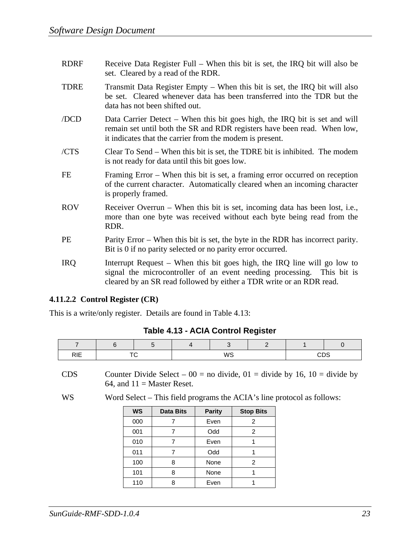| <b>RDRF</b> | Receive Data Register Full – When this bit is set, the IRQ bit will also be<br>set. Cleared by a read of the RDR.                                                                                                          |
|-------------|----------------------------------------------------------------------------------------------------------------------------------------------------------------------------------------------------------------------------|
| <b>TDRE</b> | Transmit Data Register Empty – When this bit is set, the IRQ bit will also<br>be set. Cleared whenever data has been transferred into the TDR but the<br>data has not been shifted out.                                    |
| /DCD        | Data Carrier Detect – When this bit goes high, the IRQ bit is set and will<br>remain set until both the SR and RDR registers have been read. When low,<br>it indicates that the carrier from the modem is present.         |
| /CTS        | Clear To Send – When this bit is set, the TDRE bit is inhibited. The modem<br>is not ready for data until this bit goes low.                                                                                               |
| FE          | Framing Error – When this bit is set, a framing error occurred on reception<br>of the current character. Automatically cleared when an incoming character<br>is properly framed.                                           |
| <b>ROV</b>  | Receiver Overrun – When this bit is set, incoming data has been lost, i.e.,<br>more than one byte was received without each byte being read from the<br>RDR.                                                               |
| PE          | Parity Error – When this bit is set, the byte in the RDR has incorrect parity.<br>Bit is 0 if no parity selected or no parity error occurred.                                                                              |
| <b>IRQ</b>  | Interrupt Request – When this bit goes high, the IRQ line will go low to<br>signal the microcontroller of an event needing processing. This bit is<br>cleared by an SR read followed by either a TDR write or an RDR read. |

#### **4.11.2.2 Control Register (CR)**

This is a write/only register. Details are found in Table 4.13:

| Table 4.13 - ACIA Control Register |  |  |  |
|------------------------------------|--|--|--|
|------------------------------------|--|--|--|

| <b>RIE</b> | $ -$ |  | WS |  | $\sim$<br>ں رار |
|------------|------|--|----|--|-----------------|

CDS Counter Divide Select –  $00 =$  no divide,  $01 =$  divide by 16, 10 = divide by 64, and  $11 =$  Master Reset.

WS Word Select – This field programs the ACIA's line protocol as follows:

| <b>WS</b> | <b>Data Bits</b> | <b>Parity</b> | <b>Stop Bits</b> |
|-----------|------------------|---------------|------------------|
| 000       |                  | Even          | 2                |
| 001       |                  | Odd           | 2                |
| 010       |                  | Even          |                  |
| 011       |                  | Odd           |                  |
| 100       |                  | None          | 2                |
| 101       | 8                | None          |                  |
| 110       | Ω                | Even          |                  |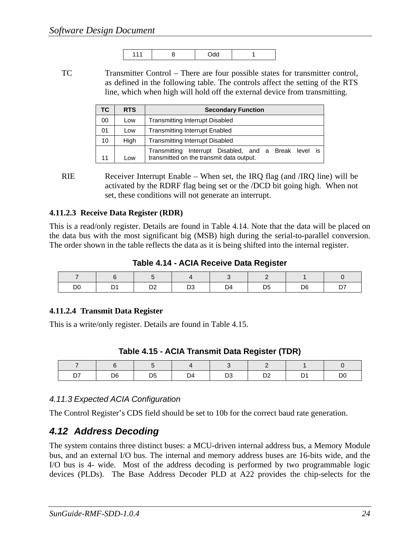TC Transmitter Control – There are four possible states for transmitter control, as defined in the following table. The controls affect the setting of the RTS line, which when high will hold off the external device from transmitting.

| TC. | <b>RTS</b> | <b>Secondary Function</b>                                                                            |  |  |  |  |
|-----|------------|------------------------------------------------------------------------------------------------------|--|--|--|--|
| 00  | Low        | <b>Transmitting Interrupt Disabled</b>                                                               |  |  |  |  |
| 01  | Low        | <b>Transmitting Interrupt Enabled</b>                                                                |  |  |  |  |
| 10  | High       | <b>Transmitting Interrupt Disabled</b>                                                               |  |  |  |  |
| 11  | Low        | Interrupt Disabled, and a Break level is<br>Transmitting<br>transmitted on the transmit data output. |  |  |  |  |

RIE Receiver Interrupt Enable – When set, the IRQ flag (and /IRQ line) will be activated by the RDRF flag being set or the /DCD bit going high. When not set, these conditions will not generate an interrupt.

#### **4.11.2.3 Receive Data Register (RDR)**

This is a read/only register. Details are found in Table 4.14. Note that the data will be placed on the data bus with the most significant big (MSB) high during the serial-to-parallel conversion. The order shown in the table reflects the data as it is being shifted into the internal register.

**Table 4.14 - ACIA Receive Data Register** 

| D <sub>0</sub> | הרי<br>◡▵ | D <sub>3</sub> | D4 | D5 | D <sub>6</sub> | ັ |
|----------------|-----------|----------------|----|----|----------------|---|

#### **4.11.2.4 Transmit Data Register**

This is a write/only register. Details are found in Table 4.15.

|  | Table 4.15 - ACIA Transmit Data Register (TDR) |  |
|--|------------------------------------------------|--|
|--|------------------------------------------------|--|

| $\overline{\phantom{a}}$ |                |                |    |                |           |    |                |
|--------------------------|----------------|----------------|----|----------------|-----------|----|----------------|
| D <sub>7</sub><br>יש     | D <sub>6</sub> | D <sub>5</sub> | D4 | D <sub>3</sub> | no.<br>◡▵ | D. | D <sub>0</sub> |

#### *4.11.3 Expected ACIA Configuration*

The Control Register's CDS field should be set to 10b for the correct baud rate generation.

#### *4.12 Address Decoding*

The system contains three distinct buses: a MCU-driven internal address bus, a Memory Module bus, and an external I/O bus. The internal and memory address buses are 16-bits wide, and the I/O bus is 4- wide. Most of the address decoding is performed by two programmable logic devices (PLDs). The Base Address Decoder PLD at A22 provides the chip-selects for the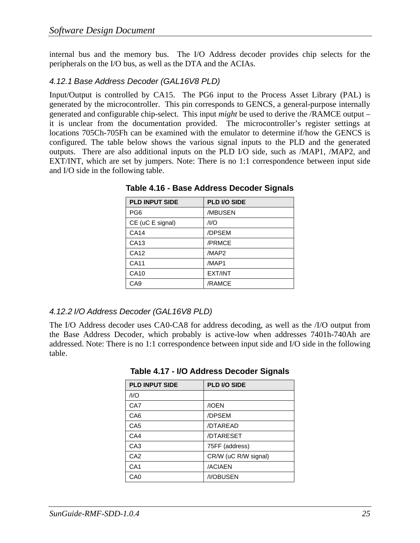internal bus and the memory bus. The I/O Address decoder provides chip selects for the peripherals on the I/O bus, as well as the DTA and the ACIAs.

#### *4.12.1 Base Address Decoder (GAL16V8 PLD)*

Input/Output is controlled by CA15. The PG6 input to the Process Asset Library (PAL) is generated by the microcontroller. This pin corresponds to GENCS, a general-purpose internally generated and configurable chip-select. This input *might* be used to derive the /RAMCE output – it is unclear from the documentation provided. The microcontroller's register settings at locations 705Ch-705Fh can be examined with the emulator to determine if/how the GENCS is configured. The table below shows the various signal inputs to the PLD and the generated outputs. There are also additional inputs on the PLD I/O side, such as /MAP1, /MAP2, and EXT/INT, which are set by jumpers. Note: There is no 1:1 correspondence between input side and I/O side in the following table.

| <b>PLD INPUT SIDE</b> | PLD I/O SIDE |
|-----------------------|--------------|
| PG <sub>6</sub>       | /MBUSEN      |
| CE (uC E signal)      | $/$ I/O      |
| CA14                  | /DPSEM       |
| CA13                  | /PRMCE       |
| <b>CA12</b>           | /MAP2        |
| <b>CA11</b>           | /MAP1        |
| CA10                  | EXT/INT      |
| CA <sub>9</sub>       | /RAMCE       |

**Table 4.16 - Base Address Decoder Signals** 

#### *4.12.2 I/O Address Decoder (GAL16V8 PLD)*

The I/O Address decoder uses CA0-CA8 for address decoding, as well as the /I/O output from the Base Address Decoder, which probably is active-low when addresses 7401h-740Ah are addressed. Note: There is no 1:1 correspondence between input side and I/O side in the following table.

| <b>PLD INPUT SIDE</b> | <b>PLD I/O SIDE</b>  |
|-----------------------|----------------------|
| $/$ I/O               |                      |
| CA7                   | /IOEN                |
| CA <sub>6</sub>       | /DPSEM               |
| CA <sub>5</sub>       | /DTAREAD             |
| CA4                   | /DTARESET            |
| CA <sub>3</sub>       | 75FF (address)       |
| CA <sub>2</sub>       | CR/W (uC R/W signal) |
| CA <sub>1</sub>       | /ACIAEN              |
| CA0                   | /I/OBUSEN            |

**Table 4.17 - I/O Address Decoder Signals**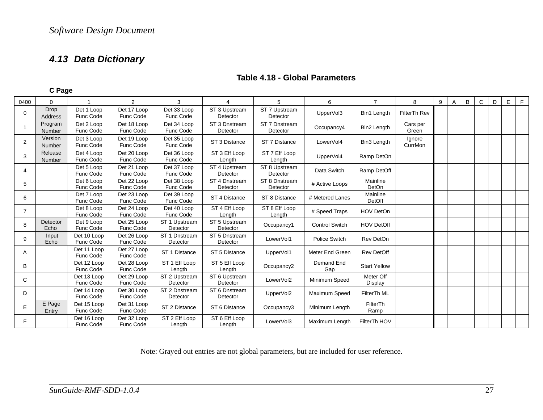### *4.13 Data Dictionary*

|                | C Page            |                          |                          |                           |                           |                           |                       |                      |                   |   |   |   |   |   |   |   |
|----------------|-------------------|--------------------------|--------------------------|---------------------------|---------------------------|---------------------------|-----------------------|----------------------|-------------------|---|---|---|---|---|---|---|
| 0400           | $\Omega$          |                          | $\overline{2}$           | 3                         | 4                         | 5                         | 6                     | $\overline{7}$       | 8                 | 9 | Α | B | C | D | E | F |
| 0              | Drop<br>Address   | Det 1 Loop<br>Func Code  | Det 17 Loop<br>Func Code | Det 33 Loop<br>Func Code  | ST 3 Upstream<br>Detector | ST 7 Upstream<br>Detector | UpperVol3             | Bin1 Length          | FilterTh Rev      |   |   |   |   |   |   |   |
|                | Program<br>Number | Det 2 Loop<br>Func Code  | Det 18 Loop<br>Func Code | Det 34 Loop<br>Func Code  | ST 3 Dnstream<br>Detector | ST 7 Dnstream<br>Detector | Occupancy4            | Bin2 Length          | Cars per<br>Green |   |   |   |   |   |   |   |
| 2              | Version<br>Number | Det 3 Loop<br>Func Code  | Det 19 Loop<br>Func Code | Det 35 Loop<br>Func Code  | ST 3 Distance             | ST 7 Distance             | LowerVol4             | Bin3 Length          | Ignore<br>CurrMon |   |   |   |   |   |   |   |
| 3              | Release<br>Number | Det 4 Loop<br>Func Code  | Det 20 Loop<br>Func Code | Det 36 Loop<br>Func Code  | ST 3 Eff Loop<br>Length   | ST 7 Eff Loop<br>Length   | UpperVol4             | Ramp DetOn           |                   |   |   |   |   |   |   |   |
| 4              |                   | Det 5 Loop<br>Func Code  | Det 21 Loop<br>Func Code | Det 37 Loop<br>Func Code  | ST 4 Upstream<br>Detector | ST 8 Upstream<br>Detector | Data Switch           | Ramp DetOff          |                   |   |   |   |   |   |   |   |
| 5              |                   | Det 6 Loop<br>Func Code  | Det 22 Loop<br>Func Code | Det 38 Loop<br>Func Code  | ST 4 Dnstream<br>Detector | ST 8 Dnstream<br>Detector | # Active Loops        | Mainline<br>DetOn    |                   |   |   |   |   |   |   |   |
| 6              |                   | Det 7 Loop<br>Func Code  | Det 23 Loop<br>Func Code | Det 39 Loop<br>Func Code  | ST 4 Distance             | ST 8 Distance             | # Metered Lanes       | Mainline<br>DetOff   |                   |   |   |   |   |   |   |   |
| $\overline{7}$ |                   | Det 8 Loop<br>Func Code  | Det 24 Loop<br>Func Code | Det 40 Loop<br>Func Code  | ST 4 Eff Loop<br>Length   | ST 8 Eff Loop<br>Length   | # Speed Traps         | <b>HOV DetOn</b>     |                   |   |   |   |   |   |   |   |
| 8              | Detector<br>Echo  | Det 9 Loop<br>Func Code  | Det 25 Loop<br>Func Code | ST 1 Upstream<br>Detector | ST 5 Upstream<br>Detector | Occupancy1                | <b>Control Switch</b> | <b>HOV DetOff</b>    |                   |   |   |   |   |   |   |   |
| 9              | Input<br>Echo     | Det 10 Loop<br>Func Code | Det 26 Loop<br>Func Code | ST 1 Dnstream<br>Detector | ST 5 Dnstream<br>Detector | LowerVol1                 | Police Switch         | Rev DetOn            |                   |   |   |   |   |   |   |   |
| A              |                   | Det 11 Loop<br>Func Code | Det 27 Loop<br>Func Code | ST 1 Distance             | ST 5 Distance             | UpperVol1                 | Meter End Green       | <b>Rev DetOff</b>    |                   |   |   |   |   |   |   |   |
| B              |                   | Det 12 Loop<br>Func Code | Det 28 Loop<br>Func Code | ST 1 Eff Loop<br>Length   | ST 5 Eff Loop<br>Length   | Occupancy2                | Demand End<br>Gap     | <b>Start Yellow</b>  |                   |   |   |   |   |   |   |   |
| C              |                   | Det 13 Loop<br>Func Code | Det 29 Loop<br>Func Code | ST 2 Upstream<br>Detector | ST 6 Upstream<br>Detector | LowerVol2                 | Minimum Speed         | Meter Off<br>Display |                   |   |   |   |   |   |   |   |
| D              |                   | Det 14 Loop<br>Func Code | Det 30 Loop<br>Func Code | ST 2 Dnstream<br>Detector | ST 6 Dnstream<br>Detector | UpperVol2                 | Maximum Speed         | FilterTh ML          |                   |   |   |   |   |   |   |   |
| E              | E Page<br>Entry   | Det 15 Loop<br>Func Code | Det 31 Loop<br>Func Code | ST 2 Distance             | ST 6 Distance             | Occupancy3                | Minimum Length        | FilterTh<br>Ramp     |                   |   |   |   |   |   |   |   |
| F              |                   | Det 16 Loop<br>Func Code | Det 32 Loop<br>Func Code | ST 2 Eff Loop<br>Length   | ST 6 Eff Loop<br>Length   | LowerVol3                 | Maximum Length        | FilterTh HOV         |                   |   |   |   |   |   |   |   |

#### **Table 4.18 - Global Parameters**

Note: Grayed out entries are not global parameters, but are included for user reference.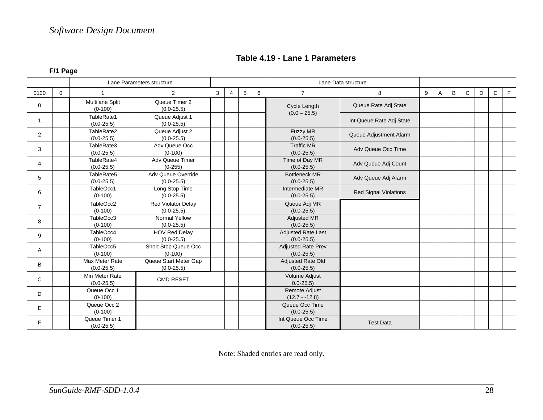|  |  | Table 4.19 - Lane 1 Parameters |
|--|--|--------------------------------|
|--|--|--------------------------------|

**F/1 Page** 

|                |          |                                  | Lane Parameters structure               |   | Lane Data structure |   |   |                                             |                              |   |              |   |   |   |   |   |  |  |
|----------------|----------|----------------------------------|-----------------------------------------|---|---------------------|---|---|---------------------------------------------|------------------------------|---|--------------|---|---|---|---|---|--|--|
| 0100           | $\Omega$ |                                  | 2                                       | 3 | $\overline{4}$      | 5 | 6 | $\overline{7}$                              | 8                            | 9 | $\mathsf{A}$ | B | C | D | E | F |  |  |
| 0              |          | Multilane Split<br>$(0-100)$     | Queue Timer 2<br>$(0.0 - 25.5)$         |   |                     |   |   | Cycle Length<br>$(0.0 - 25.5)$              | Queue Rate Adj State         |   |              |   |   |   |   |   |  |  |
| $\mathbf{1}$   |          | TableRate1<br>$(0.0-25.5)$       | Queue Adjust 1<br>$(0.0-25.5)$          |   |                     |   |   |                                             | Int Queue Rate Adj State     |   |              |   |   |   |   |   |  |  |
| $\overline{2}$ |          | TableRate2<br>$(0.0 - 25.5)$     | Queue Adjust 2<br>$(0.0 - 25.5)$        |   |                     |   |   | <b>Fuzzy MR</b><br>$(0.0 - 25.5)$           | Queue Adjustment Alarm       |   |              |   |   |   |   |   |  |  |
| 3              |          | TableRate3<br>$(0.0-25.5)$       | Adv Queue Occ<br>$(0-100)$              |   |                     |   |   | <b>Traffic MR</b><br>$(0.0 - 25.5)$         | Adv Queue Occ Time           |   |              |   |   |   |   |   |  |  |
| $\overline{4}$ |          | TableRate4<br>$(0.0 - 25.5)$     | Adv Queue Timer<br>$(0-255)$            |   |                     |   |   | Time of Day MR<br>$(0.0 - 25.5)$            | Adv Queue Adj Count          |   |              |   |   |   |   |   |  |  |
| 5              |          | TableRate5<br>$(0.0 - 25.5)$     | Adv Queue Override<br>$(0.0 - 25.5)$    |   |                     |   |   | <b>Bottleneck MR</b><br>$(0.0 - 25.5)$      | Adv Queue Adj Alarm          |   |              |   |   |   |   |   |  |  |
| 6              |          | TableOcc1<br>$(0-100)$           | Long Stop Time<br>$(0.0 - 25.5)$        |   |                     |   |   | Intermediate MR<br>$(0.0 - 25.5)$           | <b>Red Signal Violations</b> |   |              |   |   |   |   |   |  |  |
| $\overline{7}$ |          | TableOcc2<br>$(0-100)$           | Red Violator Delay<br>$(0.0 - 25.5)$    |   |                     |   |   | Queue Adj MR<br>$(0.0 - 25.5)$              |                              |   |              |   |   |   |   |   |  |  |
| 8              |          | TableOcc3<br>$(0-100)$           | Normal Yellow<br>$(0.0 - 25.5)$         |   |                     |   |   | <b>Adjusted MR</b><br>$(0.0 - 25.5)$        |                              |   |              |   |   |   |   |   |  |  |
| 9              |          | TableOcc4<br>$(0-100)$           | <b>HOV Red Delay</b><br>$(0.0-25.5)$    |   |                     |   |   | <b>Adjusted Rate Last</b><br>$(0.0 - 25.5)$ |                              |   |              |   |   |   |   |   |  |  |
| A              |          | TableOcc5<br>$(0-100)$           | Short Stop Queue Occ<br>$(0-100)$       |   |                     |   |   | <b>Adjusted Rate Prev</b><br>$(0.0 - 25.5)$ |                              |   |              |   |   |   |   |   |  |  |
| B              |          | Max Meter Rate<br>$(0.0 - 25.5)$ | Queue Start Meter Gap<br>$(0.0 - 25.5)$ |   |                     |   |   | <b>Adjusted Rate Old</b><br>$(0.0 - 25.5)$  |                              |   |              |   |   |   |   |   |  |  |
| C              |          | Min Meter Rate<br>$(0.0 - 25.5)$ | <b>CMD RESET</b>                        |   |                     |   |   | Volume Adjust<br>$0.0 - 25.5$               |                              |   |              |   |   |   |   |   |  |  |
| D              |          | Queue Occ 1<br>$(0-100)$         |                                         |   |                     |   |   | <b>Remote Adjust</b><br>$(12.7 - 12.8)$     |                              |   |              |   |   |   |   |   |  |  |
| E.             |          | Queue Occ 2<br>$(0-100)$         |                                         |   |                     |   |   | Queue Occ Time<br>$(0.0 - 25.5)$            |                              |   |              |   |   |   |   |   |  |  |
| F              |          | Queue Timer 1<br>$(0.0 - 25.5)$  |                                         |   |                     |   |   | Int Queue Occ Time<br>$(0.0 - 25.5)$        | <b>Test Data</b>             |   |              |   |   |   |   |   |  |  |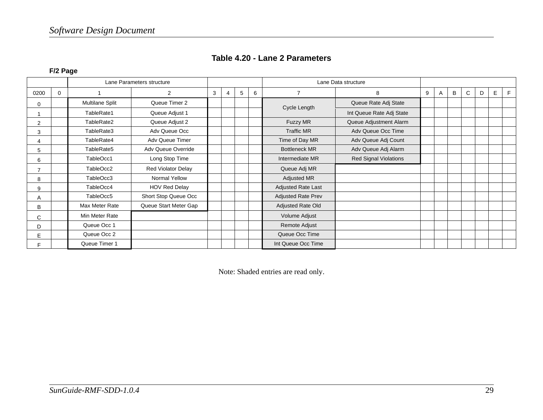|  | Table 4.20 - Lane 2 Parameters |
|--|--------------------------------|
|--|--------------------------------|

**F/2 Page** 

|      |             |                        | Lane Parameters structure |   |                          |  |   | Lane Data structure       |                              |   |   |   |   |   |  |  |
|------|-------------|------------------------|---------------------------|---|--------------------------|--|---|---------------------------|------------------------------|---|---|---|---|---|--|--|
| 0200 | $\mathbf 0$ |                        | $\overline{2}$            | 3 | 5<br>$\overline{7}$<br>6 |  | 8 | 9                         | A                            | B | C | D | E | E |  |  |
| 0    |             | <b>Multilane Split</b> | Queue Timer 2             |   |                          |  |   |                           | Queue Rate Adj State         |   |   |   |   |   |  |  |
|      |             | TableRate1             | Queue Adjust 1            |   |                          |  |   | Cycle Length              | Int Queue Rate Adj State     |   |   |   |   |   |  |  |
| 2    |             | TableRate2             | Queue Adjust 2            |   |                          |  |   | Fuzzy MR                  | Queue Adjustment Alarm       |   |   |   |   |   |  |  |
| 3    |             | TableRate3             | Adv Queue Occ             |   |                          |  |   | <b>Traffic MR</b>         | Adv Queue Occ Time           |   |   |   |   |   |  |  |
| 4    |             | TableRate4             | Adv Queue Timer           |   |                          |  |   | Time of Day MR            | Adv Queue Adj Count          |   |   |   |   |   |  |  |
| 5    |             | TableRate5             | Adv Queue Override        |   |                          |  |   | <b>Bottleneck MR</b>      | Adv Queue Adj Alarm          |   |   |   |   |   |  |  |
| 6    |             | TableOcc1              | Long Stop Time            |   |                          |  |   | Intermediate MR           | <b>Red Signal Violations</b> |   |   |   |   |   |  |  |
| 7    |             | TableOcc2              | Red Violator Delay        |   |                          |  |   | Queue Adj MR              |                              |   |   |   |   |   |  |  |
| 8    |             | TableOcc3              | Normal Yellow             |   |                          |  |   | Adjusted MR               |                              |   |   |   |   |   |  |  |
| 9    |             | TableOcc4              | <b>HOV Red Delay</b>      |   |                          |  |   | Adjusted Rate Last        |                              |   |   |   |   |   |  |  |
| A    |             | TableOcc5              | Short Stop Queue Occ      |   |                          |  |   | <b>Adjusted Rate Prev</b> |                              |   |   |   |   |   |  |  |
| B    |             | Max Meter Rate         | Queue Start Meter Gap     |   |                          |  |   | Adjusted Rate Old         |                              |   |   |   |   |   |  |  |
| C    |             | Min Meter Rate         |                           |   |                          |  |   | Volume Adjust             |                              |   |   |   |   |   |  |  |
| D    |             | Queue Occ 1            |                           |   |                          |  |   | Remote Adjust             |                              |   |   |   |   |   |  |  |
| E    |             | Queue Occ 2            |                           |   |                          |  |   | Queue Occ Time            |                              |   |   |   |   |   |  |  |
|      |             | Queue Timer 1          |                           |   |                          |  |   | Int Queue Occ Time        |                              |   |   |   |   |   |  |  |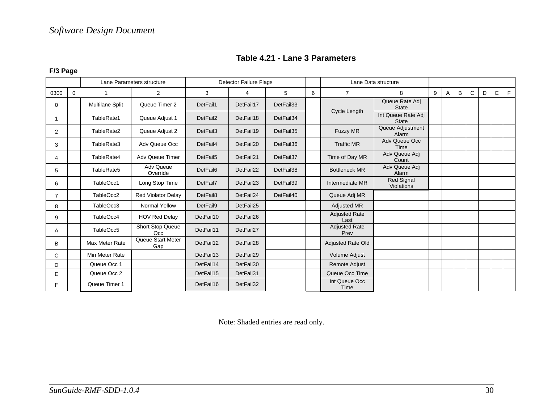| Table 4.21 - Lane 3 Parameters |  |  |  |  |
|--------------------------------|--|--|--|--|
|--------------------------------|--|--|--|--|

#### **F/3 Page**

|      |             |                 | Lane Parameters structure | <b>Detector Failure Flags</b> |           |           |   | Lane Data structure          |                                    |   |              |   |   |   |   |   |
|------|-------------|-----------------|---------------------------|-------------------------------|-----------|-----------|---|------------------------------|------------------------------------|---|--------------|---|---|---|---|---|
| 0300 | $\mathbf 0$ |                 | $\overline{2}$            | 3                             | 4         | 5         | 6 | $\overline{7}$               | 8                                  | 9 | $\mathsf{A}$ | B | C | D | E | F |
| 0    |             | Multilane Split | Queue Timer 2             | DetFail1                      | DetFail17 | DetFail33 |   | Cycle Length                 | Queue Rate Adi<br><b>State</b>     |   |              |   |   |   |   |   |
| 1    |             | TableRate1      | Queue Adjust 1            | DetFail2                      | DetFail18 | DetFail34 |   |                              | Int Queue Rate Adj<br><b>State</b> |   |              |   |   |   |   |   |
| 2    |             | TableRate2      | Queue Adjust 2            | DetFail3                      | DetFail19 | DetFail35 |   | <b>Fuzzy MR</b>              | Queue Adjustment<br>Alarm          |   |              |   |   |   |   |   |
| 3    |             | TableRate3      | Adv Queue Occ             | DetFail4                      | DetFail20 | DetFail36 |   | <b>Traffic MR</b>            | <b>Adv Queue Occ</b><br>Time       |   |              |   |   |   |   |   |
| 4    |             | TableRate4      | Adv Queue Timer           | DetFail5                      | DetFail21 | DetFail37 |   | Time of Day MR               | Adv Queue Adj<br>Count             |   |              |   |   |   |   |   |
| 5    |             | TableRate5      | Adv Queue<br>Override     | DetFail6                      | DetFail22 | DetFail38 |   | <b>Bottleneck MR</b>         | Adv Queue Adj<br>Alarm             |   |              |   |   |   |   |   |
| 6    |             | TableOcc1       | Long Stop Time            | DetFail7                      | DetFail23 | DetFail39 |   | Intermediate MR              | <b>Red Signal</b><br>Violations    |   |              |   |   |   |   |   |
| 7    |             | TableOcc2       | <b>Red Violator Delay</b> | DetFail8                      | DetFail24 | DetFail40 |   | Queue Adj MR                 |                                    |   |              |   |   |   |   |   |
| 8    |             | TableOcc3       | <b>Normal Yellow</b>      | DetFail9                      | DetFail25 |           |   | Adjusted MR                  |                                    |   |              |   |   |   |   |   |
| 9    |             | TableOcc4       | <b>HOV Red Delay</b>      | DetFail10                     | DetFail26 |           |   | <b>Adjusted Rate</b><br>Last |                                    |   |              |   |   |   |   |   |
| A    |             | TableOcc5       | Short Stop Queue<br>Occ   | DetFail11                     | DetFail27 |           |   | <b>Adjusted Rate</b><br>Prev |                                    |   |              |   |   |   |   |   |
| B    |             | Max Meter Rate  | Queue Start Meter<br>Gap  | DetFail12                     | DetFail28 |           |   | Adjusted Rate Old            |                                    |   |              |   |   |   |   |   |
| C    |             | Min Meter Rate  |                           | DetFail13                     | DetFail29 |           |   | <b>Volume Adjust</b>         |                                    |   |              |   |   |   |   |   |
| D    |             | Queue Occ 1     |                           | DetFail14                     | DetFail30 |           |   | Remote Adjust                |                                    |   |              |   |   |   |   |   |
| E    |             | Queue Occ 2     |                           | DetFail15                     | DetFail31 |           |   | Queue Occ Time               |                                    |   |              |   |   |   |   |   |
| F    |             | Queue Timer 1   |                           | DetFail16                     | DetFail32 |           |   | Int Queue Occ<br>Time        |                                    |   |              |   |   |   |   |   |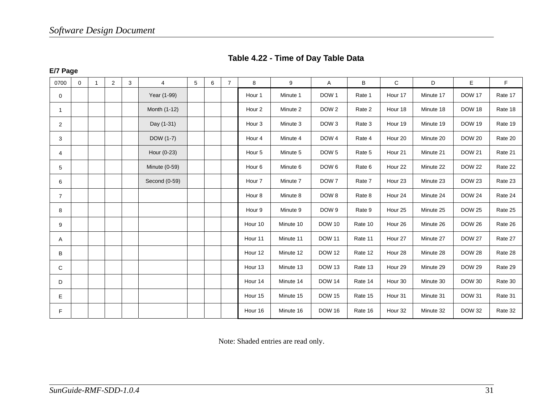|  |  | Table 4.22 - Time of Day Table Data |
|--|--|-------------------------------------|
|--|--|-------------------------------------|

**E/7 Page** 

| 0700           | $\mathbf 0$ | $\overline{1}$ | 2 | 3 | 4             | 5 | 6 | $\overline{7}$ | 8                  | 9         | Α                | B       | $\mathsf{C}$       | D         | E             | F.      |
|----------------|-------------|----------------|---|---|---------------|---|---|----------------|--------------------|-----------|------------------|---------|--------------------|-----------|---------------|---------|
| 0              |             |                |   |   | Year (1-99)   |   |   |                | Hour 1             | Minute 1  | DOW <sub>1</sub> | Rate 1  | Hour 17            | Minute 17 | <b>DOW 17</b> | Rate 17 |
| 1              |             |                |   |   | Month (1-12)  |   |   |                | Hour <sub>2</sub>  | Minute 2  | DOW <sub>2</sub> | Rate 2  | Hour 18            | Minute 18 | <b>DOW 18</b> | Rate 18 |
| $\overline{2}$ |             |                |   |   | Day (1-31)    |   |   |                | Hour <sub>3</sub>  | Minute 3  | DOW <sub>3</sub> | Rate 3  | Hour 19            | Minute 19 | <b>DOW 19</b> | Rate 19 |
| 3              |             |                |   |   | DOW (1-7)     |   |   |                | Hour 4             | Minute 4  | DOW <sub>4</sub> | Rate 4  | Hour 20            | Minute 20 | <b>DOW 20</b> | Rate 20 |
| 4              |             |                |   |   | Hour (0-23)   |   |   |                | Hour 5             | Minute 5  | DOW <sub>5</sub> | Rate 5  | Hour 21            | Minute 21 | <b>DOW 21</b> | Rate 21 |
| 5              |             |                |   |   | Minute (0-59) |   |   |                | Hour <sub>6</sub>  | Minute 6  | DOW 6            | Rate 6  | Hour 22            | Minute 22 | <b>DOW 22</b> | Rate 22 |
| 6              |             |                |   |   | Second (0-59) |   |   |                | Hour <sub>7</sub>  | Minute 7  | DOW <sub>7</sub> | Rate 7  | Hour <sub>23</sub> | Minute 23 | <b>DOW 23</b> | Rate 23 |
| $\overline{7}$ |             |                |   |   |               |   |   |                | Hour <sub>8</sub>  | Minute 8  | DOW 8            | Rate 8  | Hour 24            | Minute 24 | <b>DOW 24</b> | Rate 24 |
| 8              |             |                |   |   |               |   |   |                | Hour 9             | Minute 9  | DOW <sub>9</sub> | Rate 9  | Hour 25            | Minute 25 | <b>DOW 25</b> | Rate 25 |
| 9              |             |                |   |   |               |   |   |                | Hour 10            | Minute 10 | <b>DOW 10</b>    | Rate 10 | Hour 26            | Minute 26 | <b>DOW 26</b> | Rate 26 |
| A              |             |                |   |   |               |   |   |                | Hour 11            | Minute 11 | <b>DOW 11</b>    | Rate 11 | Hour 27            | Minute 27 | <b>DOW 27</b> | Rate 27 |
| В              |             |                |   |   |               |   |   |                | Hour 12            | Minute 12 | <b>DOW 12</b>    | Rate 12 | Hour 28            | Minute 28 | <b>DOW 28</b> | Rate 28 |
| C              |             |                |   |   |               |   |   |                | Hour <sub>13</sub> | Minute 13 | <b>DOW 13</b>    | Rate 13 | Hour 29            | Minute 29 | <b>DOW 29</b> | Rate 29 |
| D              |             |                |   |   |               |   |   |                | Hour 14            | Minute 14 | <b>DOW 14</b>    | Rate 14 | Hour 30            | Minute 30 | <b>DOW 30</b> | Rate 30 |
| Е              |             |                |   |   |               |   |   |                | Hour 15            | Minute 15 | <b>DOW 15</b>    | Rate 15 | Hour 31            | Minute 31 | <b>DOW 31</b> | Rate 31 |
| F.             |             |                |   |   |               |   |   |                | Hour 16            | Minute 16 | <b>DOW 16</b>    | Rate 16 | Hour 32            | Minute 32 | <b>DOW 32</b> | Rate 32 |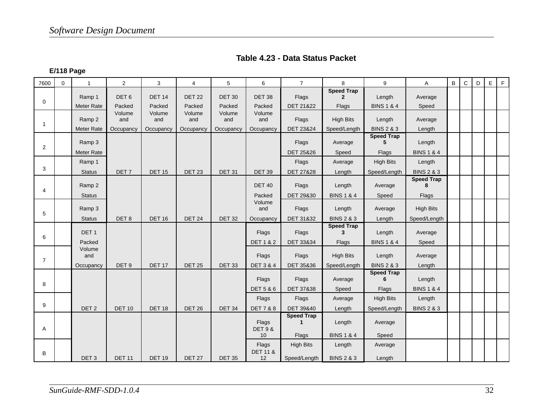| Table 4.23 - Data Status Packet |  |  |
|---------------------------------|--|--|
|---------------------------------|--|--|

**E/118 Page** 

| 7600           | $\mathbf 0$ | $\overline{1}$    | $\overline{2}$   | 3             | $\overline{4}$ | 5             | 6                            | $\overline{7}$    | 8                      | 9                                          | Α                      | $\, {\bf B} \,$ | $\mathsf C$ | D | $\mathsf E$ | $\mathsf F$ |
|----------------|-------------|-------------------|------------------|---------------|----------------|---------------|------------------------------|-------------------|------------------------|--------------------------------------------|------------------------|-----------------|-------------|---|-------------|-------------|
| $\mathbf 0$    |             | Ramp 1            | DET <sub>6</sub> | <b>DET 14</b> | <b>DET 22</b>  | <b>DET 30</b> | <b>DET 38</b>                | Flags             | <b>Speed Trap</b><br>2 | Length                                     | Average                |                 |             |   |             |             |
|                |             | <b>Meter Rate</b> | Packed           | Packed        | Packed         | Packed        | Packed                       | DET 21&22         | Flags                  | <b>BINS 1 &amp; 4</b>                      | Speed                  |                 |             |   |             |             |
| $\mathbf{1}$   |             | Ramp 2            | Volume<br>and    | Volume<br>and | Volume<br>and  | Volume<br>and | Volume<br>and                | Flags             | <b>High Bits</b>       | Length                                     | Average                |                 |             |   |             |             |
|                |             | Meter Rate        | Occupancy        | Occupancy     | Occupancy      | Occupancy     | Occupancy                    | DET 23&24         | Speed/Length           | <b>BINS 2 &amp; 3</b><br><b>Speed Trap</b> | Length                 |                 |             |   |             |             |
| 2              |             | Ramp 3            |                  |               |                |               |                              | Flags             | Average                | 5                                          | Length                 |                 |             |   |             |             |
|                |             | Meter Rate        |                  |               |                |               |                              | DET 25&26         | Speed                  | Flags                                      | <b>BINS 1 &amp; 4</b>  |                 |             |   |             |             |
|                |             | Ramp 1            |                  |               |                |               |                              | Flags             | Average                | <b>High Bits</b>                           | Length                 |                 |             |   |             |             |
| 3              |             | <b>Status</b>     | DET <sub>7</sub> | <b>DET 15</b> | <b>DET 23</b>  | <b>DET 31</b> | <b>DET 39</b>                | DET 27&28         | Length                 | Speed/Length                               | <b>BINS 2 &amp; 3</b>  |                 |             |   |             |             |
| 4              |             | Ramp 2            |                  |               |                |               | <b>DET 40</b>                | Flags             | Length                 | Average                                    | <b>Speed Trap</b><br>8 |                 |             |   |             |             |
|                |             | <b>Status</b>     |                  |               |                |               | Packed                       | DET 29&30         | <b>BINS 1 &amp; 4</b>  | Speed                                      | Flags                  |                 |             |   |             |             |
| 5              |             | Ramp 3            |                  |               |                |               | Volume<br>and                | Flags             | Length                 | Average                                    | <b>High Bits</b>       |                 |             |   |             |             |
|                |             | <b>Status</b>     | DET8             | <b>DET 16</b> | <b>DET 24</b>  | <b>DET 32</b> | Occupancy                    | DET 31&32         | <b>BINS 2 &amp; 3</b>  | Length                                     | Speed/Length           |                 |             |   |             |             |
| 6              |             | DET <sub>1</sub>  |                  |               |                |               | Flags                        | Flags             | <b>Speed Trap</b><br>3 | Length                                     | Average                |                 |             |   |             |             |
|                |             | Packed            |                  |               |                |               | <b>DET1&amp;2</b>            | DET 33&34         | Flags                  | <b>BINS 1 &amp; 4</b>                      | Speed                  |                 |             |   |             |             |
| $\overline{7}$ |             | Volume<br>and     |                  |               |                |               | Flags                        | Flags             | <b>High Bits</b>       | Length                                     | Average                |                 |             |   |             |             |
|                |             | Occupancy         | DET <sub>9</sub> | <b>DET 17</b> | <b>DET 25</b>  | <b>DET 33</b> | <b>DET 3 &amp; 4</b>         | DET 35&36         | Speed/Length           | <b>BINS 2 &amp; 3</b>                      | Length                 |                 |             |   |             |             |
| 8              |             |                   |                  |               |                |               | Flags                        | Flags             | Average                | <b>Speed Trap</b><br>6                     | Length                 |                 |             |   |             |             |
|                |             |                   |                  |               |                |               | <b>DET 5 &amp; 6</b>         | DET 37&38         | Speed                  | Flags                                      | <b>BINS 1 &amp; 4</b>  |                 |             |   |             |             |
| 9              |             |                   |                  |               |                |               | Flags                        | Flags             | Average                | <b>High Bits</b>                           | Length                 |                 |             |   |             |             |
|                |             | DET <sub>2</sub>  | <b>DET 10</b>    | <b>DET 18</b> | <b>DET 26</b>  | <b>DET 34</b> | <b>DET 7 &amp; 8</b>         | DET 39&40         | Length                 | Speed/Length                               | <b>BINS 2 &amp; 3</b>  |                 |             |   |             |             |
| Α              |             |                   |                  |               |                |               | Flags<br><b>DET 9 &amp;</b>  | <b>Speed Trap</b> | Length                 | Average                                    |                        |                 |             |   |             |             |
|                |             |                   |                  |               |                |               | 10                           | Flags             | <b>BINS 1 &amp; 4</b>  | Speed                                      |                        |                 |             |   |             |             |
| B              |             |                   |                  |               |                |               | Flags<br><b>DET 11 &amp;</b> | <b>High Bits</b>  | Length                 | Average                                    |                        |                 |             |   |             |             |
|                |             | DET <sub>3</sub>  | <b>DET 11</b>    | <b>DET 19</b> | <b>DET 27</b>  | <b>DET 35</b> | 12                           | Speed/Length      | <b>BINS 2 &amp; 3</b>  | Length                                     |                        |                 |             |   |             |             |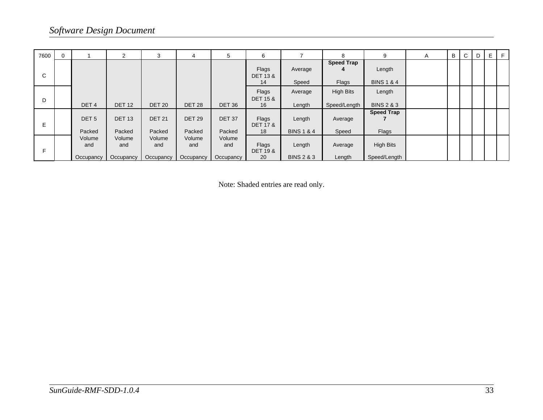| 7600 |                            | 2                          | 3                          | 4                          | 5                          | 6                                  | 7                               | 8                                | 9                                | Α | В | $\mathsf{C}$ | D | Е | F |
|------|----------------------------|----------------------------|----------------------------|----------------------------|----------------------------|------------------------------------|---------------------------------|----------------------------------|----------------------------------|---|---|--------------|---|---|---|
| C    |                            |                            |                            |                            |                            | Flags<br><b>DET 13 &amp;</b><br>14 | Average<br>Speed                | <b>Speed Trap</b><br>4<br>Flags  | Length<br><b>BINS 1 &amp; 4</b>  |   |   |              |   |   |   |
| D    | DET <sub>4</sub>           | <b>DET 12</b>              | <b>DET 20</b>              | <b>DET 28</b>              | DET <sub>36</sub>          | Flags<br><b>DET 15 &amp;</b><br>16 | Average<br>Length               | <b>High Bits</b><br>Speed/Length | Length<br><b>BINS 2 &amp; 3</b>  |   |   |              |   |   |   |
| E    | DET <sub>5</sub><br>Packed | <b>DET 13</b><br>Packed    | <b>DET 21</b><br>Packed    | <b>DET 29</b><br>Packed    | <b>DET 37</b><br>Packed    | Flags<br><b>DET 17 &amp;</b><br>18 | Length<br><b>BINS 1 &amp; 4</b> | Average<br>Speed                 | <b>Speed Trap</b><br>Flags       |   |   |              |   |   |   |
| Е    | Volume<br>and<br>Occupancy | Volume<br>and<br>Occupancy | Volume<br>and<br>Occupancy | Volume<br>and<br>Occupancy | Volume<br>and<br>Occupancy | Flags<br><b>DET 19 &amp;</b><br>20 | Length<br><b>BINS 2 &amp; 3</b> | Average<br>Length                | <b>High Bits</b><br>Speed/Length |   |   |              |   |   |   |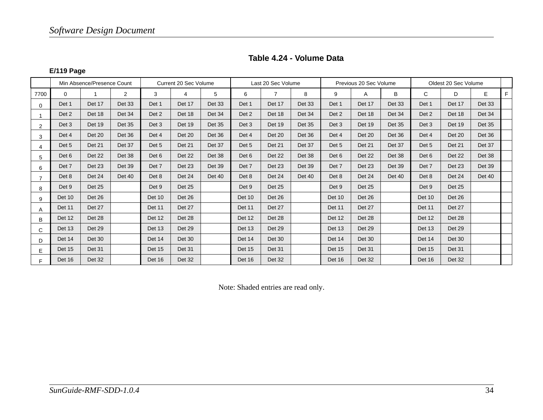#### **Table 4.24 - Volume Data**

#### **E/119 Page**

|                |               | Min Absence/Presence Count |                |        | Current 20 Sec Volume |               |        | Last 20 Sec Volume |               |        | Previous 20 Sec Volume |        |        | Oldest 20 Sec Volume |               |    |
|----------------|---------------|----------------------------|----------------|--------|-----------------------|---------------|--------|--------------------|---------------|--------|------------------------|--------|--------|----------------------|---------------|----|
| 7700           | $\Omega$      | 1                          | $\overline{2}$ | 3      | 4                     | 5             | 6      | $\overline{7}$     | 8             | 9      | A                      | B      | C      | D                    | E             | F. |
| $\Omega$       | Det 1         | Det 17                     | Det 33         | Det 1  | Det 17                | Det 33        | Det 1  | Det 17             | <b>Det 33</b> | Det 1  | Det 17                 | Det 33 | Det 1  | Det 17               | Det 33        |    |
|                | Det 2         | Det 18                     | Det 34         | Det 2  | Det 18                | Det 34        | Det 2  | Det 18             | Det 34        | Det 2  | Det 18                 | Det 34 | Det 2  | Det 18               | Det 34        |    |
| 2              | Det 3         | Det 19                     | Det 35         | Det 3  | Det 19                | <b>Det 35</b> | Det 3  | Det 19             | <b>Det 35</b> | Det 3  | Det 19                 | Det 35 | Det 3  | Det 19               | <b>Det 35</b> |    |
| 3              | Det 4         | Det 20                     | Det 36         | Det 4  | Det 20                | Det 36        | Det 4  | Det 20             | Det 36        | Det 4  | Det 20                 | Det 36 | Det 4  | Det 20               | Det 36        |    |
| 4              | Det 5         | Det 21                     | Det 37         | Det 5  | <b>Det 21</b>         | Det 37        | Det 5  | Det 21             | Det 37        | Det 5  | Det 21                 | Det 37 | Det 5  | Det 21               | Det 37        |    |
| 5              | Det 6         | Det 22                     | Det 38         | Det 6  | Det 22                | Det 38        | Det 6  | Det 22             | Det 38        | Det 6  | Det 22                 | Det 38 | Det 6  | <b>Det 22</b>        | Det 38        |    |
| 6              | Det 7         | Det 23                     | Det 39         | Det 7  | Det 23                | Det 39        | Det 7  | Det 23             | <b>Det 39</b> | Det 7  | Det 23                 | Det 39 | Det 7  | Det 23               | <b>Det 39</b> |    |
| $\overline{7}$ | Det 8         | Det 24                     | Det 40         | Det 8  | Det 24                | Det 40        | Det 8  | Det 24             | <b>Det 40</b> | Det 8  | Det 24                 | Det 40 | Det 8  | Det 24               | Det 40        |    |
| 8              | Det 9         | Det 25                     |                | Det 9  | <b>Det 25</b>         |               | Det 9  | Det 25             |               | Det 9  | <b>Det 25</b>          |        | Det 9  | Det 25               |               |    |
| 9              | <b>Det 10</b> | Det 26                     |                | Det 10 | Det 26                |               | Det 10 | Det 26             |               | Det 10 | Det 26                 |        | Det 10 | Det 26               |               |    |
| A              | <b>Det 11</b> | Det 27                     |                | Det 11 | Det 27                |               | Det 11 | Det 27             |               | Det 11 | Det 27                 |        | Det 11 | Det 27               |               |    |
| B              | Det 12        | Det 28                     |                | Det 12 | Det 28                |               | Det 12 | Det 28             |               | Det 12 | Det 28                 |        | Det 12 | Det 28               |               |    |
| C              | Det 13        | Det 29                     |                | Det 13 | Det 29                |               | Det 13 | Det 29             |               | Det 13 | Det 29                 |        | Det 13 | Det 29               |               |    |
| D              | Det 14        | Det 30                     |                | Det 14 | Det 30                |               | Det 14 | Det 30             |               | Det 14 | Det 30                 |        | Det 14 | Det 30               |               |    |
| E              | Det 15        | Det 31                     |                | Det 15 | <b>Det 31</b>         |               | Det 15 | Det 31             |               | Det 15 | Det 31                 |        | Det 15 | Det 31               |               |    |
| F.             | Det 16        | Det 32                     |                | Det 16 | Det 32                |               | Det 16 | Det 32             |               | Det 16 | Det 32                 |        | Det 16 | Det 32               |               |    |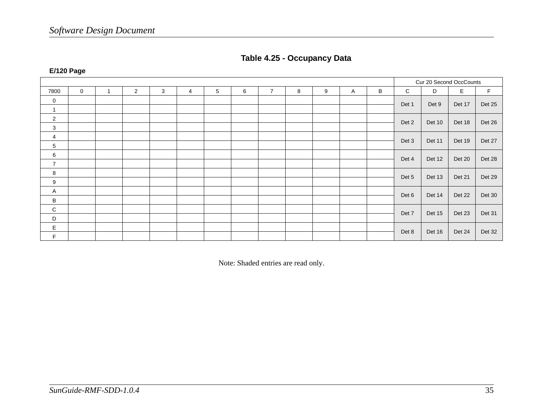| Cur 20 Second OccCounts<br>$\mathsf{C}$<br>E<br>F<br>$\overline{0}$<br>$\overline{2}$<br>3<br>$5\phantom{.0}$<br>$\overline{7}$<br>B<br>D<br>6<br>8<br>9<br>7800<br>4<br>$\overline{1}$<br>A<br>$\overline{0}$<br>Det 25<br>Det 1<br>Det 9<br>Det 17<br>$\mathbf{1}$<br>$\mathbf{2}$<br>Det 26<br>Det 2<br>Det 10<br>Det 18<br>$\mathbf{3}$<br>4<br>Det 27<br>Det 3<br>Det 11<br>Det 19<br>5<br>6<br>Det 28<br>Det 4<br>Det 12<br>Det 20<br>$\overline{7}$<br>8<br>Det 29<br>Det 5<br>Det 13<br>Det 21<br>9<br>A<br>Det 30<br>Det 6<br>Det 14<br>Det 22<br>B<br>${\bf C}$<br>Det 31<br>Det 7<br>Det 15<br>Det 23<br>D<br>E<br>Det 32<br>Det 8<br>Det 16<br>Det 24 |             |  |  |  |  |  |  |  |  |
|-------------------------------------------------------------------------------------------------------------------------------------------------------------------------------------------------------------------------------------------------------------------------------------------------------------------------------------------------------------------------------------------------------------------------------------------------------------------------------------------------------------------------------------------------------------------------------------------------------------------------------------------------------------------|-------------|--|--|--|--|--|--|--|--|
|                                                                                                                                                                                                                                                                                                                                                                                                                                                                                                                                                                                                                                                                   |             |  |  |  |  |  |  |  |  |
|                                                                                                                                                                                                                                                                                                                                                                                                                                                                                                                                                                                                                                                                   |             |  |  |  |  |  |  |  |  |
|                                                                                                                                                                                                                                                                                                                                                                                                                                                                                                                                                                                                                                                                   |             |  |  |  |  |  |  |  |  |
|                                                                                                                                                                                                                                                                                                                                                                                                                                                                                                                                                                                                                                                                   |             |  |  |  |  |  |  |  |  |
|                                                                                                                                                                                                                                                                                                                                                                                                                                                                                                                                                                                                                                                                   |             |  |  |  |  |  |  |  |  |
|                                                                                                                                                                                                                                                                                                                                                                                                                                                                                                                                                                                                                                                                   |             |  |  |  |  |  |  |  |  |
|                                                                                                                                                                                                                                                                                                                                                                                                                                                                                                                                                                                                                                                                   |             |  |  |  |  |  |  |  |  |
|                                                                                                                                                                                                                                                                                                                                                                                                                                                                                                                                                                                                                                                                   |             |  |  |  |  |  |  |  |  |
|                                                                                                                                                                                                                                                                                                                                                                                                                                                                                                                                                                                                                                                                   |             |  |  |  |  |  |  |  |  |
|                                                                                                                                                                                                                                                                                                                                                                                                                                                                                                                                                                                                                                                                   |             |  |  |  |  |  |  |  |  |
|                                                                                                                                                                                                                                                                                                                                                                                                                                                                                                                                                                                                                                                                   |             |  |  |  |  |  |  |  |  |
|                                                                                                                                                                                                                                                                                                                                                                                                                                                                                                                                                                                                                                                                   |             |  |  |  |  |  |  |  |  |
|                                                                                                                                                                                                                                                                                                                                                                                                                                                                                                                                                                                                                                                                   |             |  |  |  |  |  |  |  |  |
|                                                                                                                                                                                                                                                                                                                                                                                                                                                                                                                                                                                                                                                                   |             |  |  |  |  |  |  |  |  |
|                                                                                                                                                                                                                                                                                                                                                                                                                                                                                                                                                                                                                                                                   |             |  |  |  |  |  |  |  |  |
|                                                                                                                                                                                                                                                                                                                                                                                                                                                                                                                                                                                                                                                                   |             |  |  |  |  |  |  |  |  |
|                                                                                                                                                                                                                                                                                                                                                                                                                                                                                                                                                                                                                                                                   |             |  |  |  |  |  |  |  |  |
|                                                                                                                                                                                                                                                                                                                                                                                                                                                                                                                                                                                                                                                                   | $\mathsf F$ |  |  |  |  |  |  |  |  |

#### **Table 4.25 - Occupancy Data**

Note: Shaded entries are read only.

### **E/120 Page**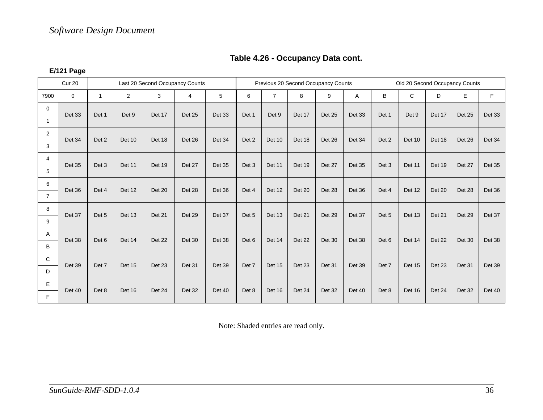| Table 4.26 - Occupancy Data cont. |
|-----------------------------------|
|-----------------------------------|

#### **E/121 Page**

|                | <b>Cur 20</b> | Last 20 Second Occupancy Counts |               |              |                |        |       |                |        | Previous 20 Second Occupancy Counts |               | Old 20 Second Occupancy Counts |              |        |        |               |
|----------------|---------------|---------------------------------|---------------|--------------|----------------|--------|-------|----------------|--------|-------------------------------------|---------------|--------------------------------|--------------|--------|--------|---------------|
| 7900           | $\mathbf 0$   | $\mathbf{1}$                    | 2             | $\mathbf{3}$ | $\overline{4}$ | 5      | 6     | $\overline{7}$ | 8      | 9                                   | Α             | B                              | $\mathsf{C}$ | D      | E      | F             |
| $\mathbf 0$    | Det 33        | Det 1                           | Det 9         | Det 17       | <b>Det 25</b>  | Det 33 | Det 1 | Det 9          | Det 17 | Det 25                              | Det 33        | Det 1                          | Det 9        | Det 17 | Det 25 | Det 33        |
| $\overline{1}$ |               |                                 |               |              |                |        |       |                |        |                                     |               |                                |              |        |        |               |
| 2              | Det 34        | Det 2                           | Det 10        | Det 18       | Det 26         | Det 34 | Det 2 | Det 10         | Det 18 | Det 26                              | Det 34        | Det 2                          | Det 10       | Det 18 | Det 26 | Det 34        |
| 3              |               |                                 |               |              |                |        |       |                |        |                                     |               |                                |              |        |        |               |
| $\overline{4}$ | <b>Det 35</b> | Det 3                           | <b>Det 11</b> | Det 19       | Det 27         | Det 35 | Det 3 | Det 11         | Det 19 | Det 27                              | <b>Det 35</b> | Det 3                          | Det 11       | Det 19 | Det 27 | <b>Det 35</b> |
| 5              |               |                                 |               |              |                |        |       |                |        |                                     |               |                                |              |        |        |               |
| 6              | Det 36        | Det 4                           | Det 12        | Det 20       | Det 28         | Det 36 | Det 4 | Det 12         | Det 20 | Det 28                              | Det 36        | Det 4                          | Det 12       | Det 20 | Det 28 | Det 36        |
| $\overline{7}$ |               |                                 |               |              |                |        |       |                |        |                                     |               |                                |              |        |        |               |
| 8              | Det 37        | Det 5                           | Det 13        | Det 21       | Det 29         | Det 37 | Det 5 | Det 13         | Det 21 | Det 29                              | Det 37        | Det 5                          | Det 13       | Det 21 | Det 29 | Det 37        |
| 9              |               |                                 |               |              |                |        |       |                |        |                                     |               |                                |              |        |        |               |
| Α              | Det 38        | Det 6                           | Det 14        | Det 22       | Det 30         | Det 38 | Det 6 | Det 14         | Det 22 | Det 30                              | Det 38        | Det 6                          | Det 14       | Det 22 | Det 30 | Det 38        |
| B              |               |                                 |               |              |                |        |       |                |        |                                     |               |                                |              |        |        |               |
| C              | Det 39        | Det 7                           | Det 15        | Det 23       | Det 31         | Det 39 | Det 7 | Det 15         | Det 23 | Det 31                              | Det 39        | Det 7                          | Det 15       | Det 23 | Det 31 | <b>Det 39</b> |
| D              |               |                                 |               |              |                |        |       |                |        |                                     |               |                                |              |        |        |               |
| E              | <b>Det 40</b> | Det 8                           | Det 16        | Det 24       | Det 32         | Det 40 | Det 8 | Det 16         | Det 24 | Det 32                              | Det 40        | Det 8                          | Det 16       | Det 24 | Det 32 | Det 40        |
| F              |               |                                 |               |              |                |        |       |                |        |                                     |               |                                |              |        |        |               |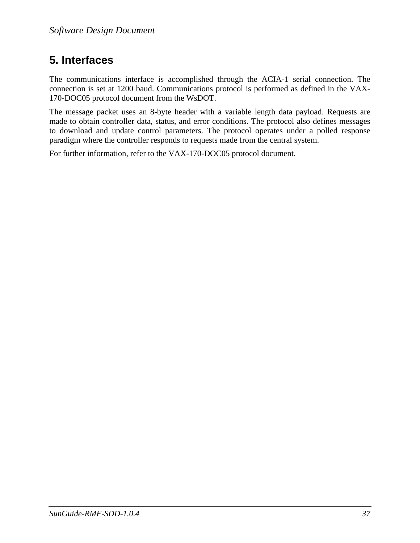### **5. Interfaces**

The communications interface is accomplished through the ACIA-1 serial connection. The connection is set at 1200 baud. Communications protocol is performed as defined in the VAX-170-DOC05 protocol document from the WsDOT.

The message packet uses an 8-byte header with a variable length data payload. Requests are made to obtain controller data, status, and error conditions. The protocol also defines messages to download and update control parameters. The protocol operates under a polled response paradigm where the controller responds to requests made from the central system.

For further information, refer to the VAX-170-DOC05 protocol document.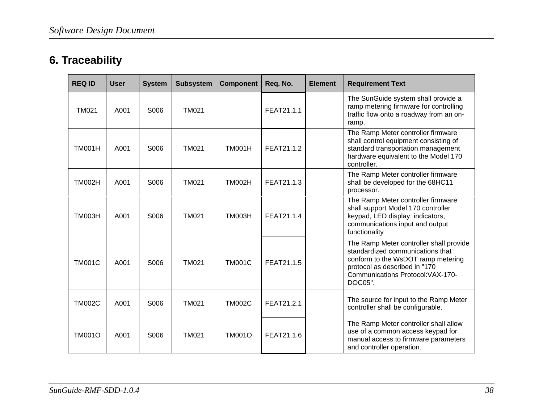### **6. Traceability**

| <b>REQ ID</b> | <b>User</b> | <b>System</b> | <b>Subsystem</b> | <b>Component</b> | Req. No.   | <b>Element</b> | <b>Requirement Text</b>                                                                                                                                                                            |
|---------------|-------------|---------------|------------------|------------------|------------|----------------|----------------------------------------------------------------------------------------------------------------------------------------------------------------------------------------------------|
| <b>TM021</b>  | A001        | S006          | <b>TM021</b>     |                  | FEAT21.1.1 |                | The SunGuide system shall provide a<br>ramp metering firmware for controlling<br>traffic flow onto a roadway from an on-<br>ramp.                                                                  |
| <b>TM001H</b> | A001        | S006          | <b>TM021</b>     | <b>TM001H</b>    | FEAT21.1.2 |                | The Ramp Meter controller firmware<br>shall control equipment consisting of<br>standard transportation management<br>hardware equivalent to the Model 170<br>controller.                           |
| <b>TM002H</b> | A001        | S006          | <b>TM021</b>     | <b>TM002H</b>    | FEAT21.1.3 |                | The Ramp Meter controller firmware<br>shall be developed for the 68HC11<br>processor.                                                                                                              |
| <b>TM003H</b> | A001        | S006          | <b>TM021</b>     | <b>TM003H</b>    | FEAT21.1.4 |                | The Ramp Meter controller firmware<br>shall support Model 170 controller<br>keypad, LED display, indicators,<br>communications input and output<br>functionality                                   |
| <b>TM001C</b> | A001        | S006          | <b>TM021</b>     | <b>TM001C</b>    | FEAT21.1.5 |                | The Ramp Meter controller shall provide<br>standardized communications that<br>conform to the WsDOT ramp metering<br>protocol as described in "170<br>Communications Protocol: VAX-170-<br>DOC05". |
| <b>TM002C</b> | A001        | S006          | <b>TM021</b>     | <b>TM002C</b>    | FEAT21.2.1 |                | The source for input to the Ramp Meter<br>controller shall be configurable.                                                                                                                        |
| <b>TM001O</b> | A001        | S006          | <b>TM021</b>     | <b>TM001O</b>    | FEAT21.1.6 |                | The Ramp Meter controller shall allow<br>use of a common access keypad for<br>manual access to firmware parameters<br>and controller operation.                                                    |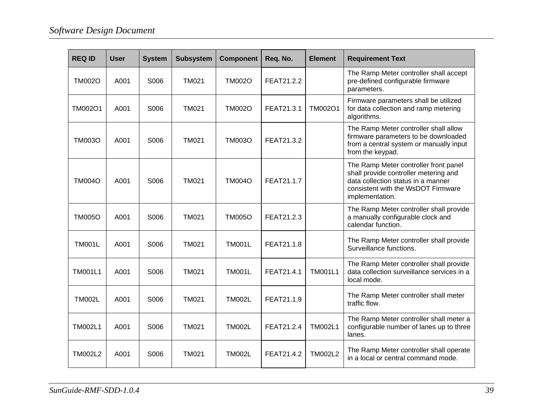| <b>REQ ID</b>  | <b>User</b> | <b>System</b> | <b>Subsystem</b> | <b>Component</b> | Req. No.   | <b>Element</b> | <b>Requirement Text</b>                                                                                                                                                       |
|----------------|-------------|---------------|------------------|------------------|------------|----------------|-------------------------------------------------------------------------------------------------------------------------------------------------------------------------------|
| <b>TM002O</b>  | A001        | S006          | <b>TM021</b>     | <b>TM002O</b>    | FEAT21.2.2 |                | The Ramp Meter controller shall accept<br>pre-defined configurable firmware<br>parameters.                                                                                    |
| TM002O1        | A001        | S006          | <b>TM021</b>     | <b>TM002O</b>    | FEAT21.3.1 | TM002O1        | Firmware parameters shall be utilized<br>for data collection and ramp metering<br>algorithms.                                                                                 |
| <b>TM003O</b>  | A001        | S006          | <b>TM021</b>     | <b>TM003O</b>    | FEAT21.3.2 |                | The Ramp Meter controller shall allow<br>firmware parameters to be downloaded<br>from a central system or manually input<br>from the keypad.                                  |
| <b>TM004O</b>  | A001        | S006          | <b>TM021</b>     | <b>TM004O</b>    | FEAT21.1.7 |                | The Ramp Meter controller front panel<br>shall provide controller metering and<br>data collection status in a manner<br>consistent with the WsDOT Firmware<br>implementation. |
| <b>TM005O</b>  | A001        | S006          | <b>TM021</b>     | <b>TM005O</b>    | FEAT21.2.3 |                | The Ramp Meter controller shall provide<br>a manually configurable clock and<br>calendar function.                                                                            |
| <b>TM001L</b>  | A001        | S006          | <b>TM021</b>     | <b>TM001L</b>    | FEAT21.1.8 |                | The Ramp Meter controller shall provide<br>Surveillance functions.                                                                                                            |
| <b>TM001L1</b> | A001        | S006          | <b>TM021</b>     | <b>TM001L</b>    | FEAT21.4.1 | <b>TM001L1</b> | The Ramp Meter controller shall provide<br>data collection surveillance services in a<br>local mode.                                                                          |
| <b>TM002L</b>  | A001        | S006          | <b>TM021</b>     | <b>TM002L</b>    | FEAT21.1.9 |                | The Ramp Meter controller shall meter<br>traffic flow.                                                                                                                        |
| <b>TM002L1</b> | A001        | S006          | <b>TM021</b>     | <b>TM002L</b>    | FEAT21.2.4 | <b>TM002L1</b> | The Ramp Meter controller shall meter a<br>configurable number of lanes up to three<br>lanes.                                                                                 |
| <b>TM002L2</b> | A001        | S006          | <b>TM021</b>     | <b>TM002L</b>    | FEAT21.4.2 | <b>TM002L2</b> | The Ramp Meter controller shall operate<br>in a local or central command mode.                                                                                                |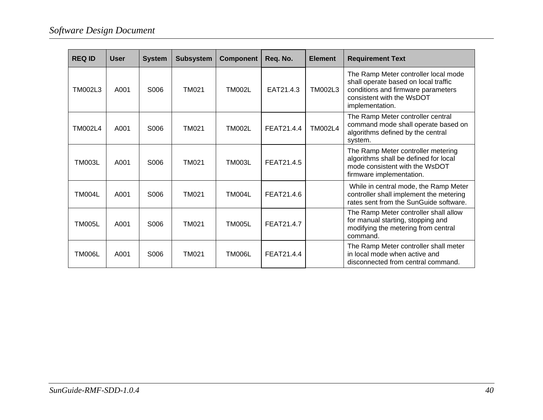| <b>REQ ID</b> | <b>User</b> | <b>System</b> | <b>Subsystem</b> | <b>Component</b> | Req. No.   | <b>Element</b> | <b>Requirement Text</b>                                                                                                                                            |
|---------------|-------------|---------------|------------------|------------------|------------|----------------|--------------------------------------------------------------------------------------------------------------------------------------------------------------------|
| TM002L3       | A001        | S006          | <b>TM021</b>     | <b>TM002L</b>    | EAT21.4.3  | <b>TM002L3</b> | The Ramp Meter controller local mode<br>shall operate based on local traffic<br>conditions and firmware parameters<br>consistent with the WsDOT<br>implementation. |
| TM002L4       | A001        | S006          | <b>TM021</b>     | <b>TM002L</b>    | FEAT21.4.4 | <b>TM002L4</b> | The Ramp Meter controller central<br>command mode shall operate based on<br>algorithms defined by the central<br>system.                                           |
| <b>TM003L</b> | A001        | S006          | <b>TM021</b>     | <b>TM003L</b>    | FEAT21.4.5 |                | The Ramp Meter controller metering<br>algorithms shall be defined for local<br>mode consistent with the WsDOT<br>firmware implementation.                          |
| TM004L        | A001        | S006          | <b>TM021</b>     | <b>TM004L</b>    | FEAT21.4.6 |                | While in central mode, the Ramp Meter<br>controller shall implement the metering<br>rates sent from the SunGuide software.                                         |
| <b>TM005L</b> | A001        | S006          | <b>TM021</b>     | TM005L           | FEAT21.4.7 |                | The Ramp Meter controller shall allow<br>for manual starting, stopping and<br>modifying the metering from central<br>command.                                      |
| <b>TM006L</b> | A001        | S006          | TM021            | <b>TM006L</b>    | FEAT21.4.4 |                | The Ramp Meter controller shall meter<br>in local mode when active and<br>disconnected from central command.                                                       |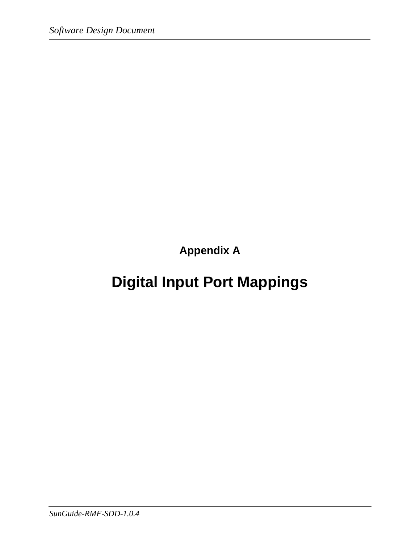**Appendix A** 

# **Digital Input Port Mappings**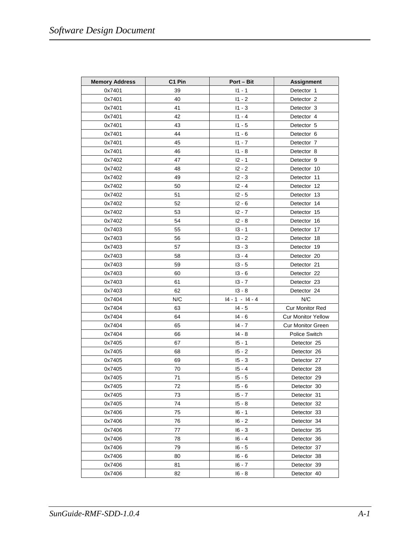| <b>Memory Address</b> | C <sub>1</sub> Pin | Port – Bit        | <b>Assignment</b>         |
|-----------------------|--------------------|-------------------|---------------------------|
| 0x7401                | 39                 | $11 - 1$          | Detector 1                |
| 0x7401                | 40                 | $11 - 2$          | Detector 2                |
| 0x7401                | 41                 | $11 - 3$          | Detector 3                |
| 0x7401                | 42                 | $11 - 4$          | Detector 4                |
| 0x7401                | 43                 | $11 - 5$          | Detector 5                |
| 0x7401                | 44                 | $11 - 6$          | Detector 6                |
| 0x7401                | 45                 | $11 - 7$          | Detector 7                |
| 0x7401                | 46                 | $11 - 8$          | Detector 8                |
| 0x7402                | 47                 | $12 - 1$          | Detector 9                |
| 0x7402                | 48                 | $12 - 2$          | Detector 10               |
| 0x7402                | 49                 | $12 - 3$          | Detector 11               |
| 0x7402                | 50                 | $12 - 4$          | Detector 12               |
| 0x7402                | 51                 | $12 - 5$          | Detector 13               |
| 0x7402                | 52                 | $12 - 6$          | Detector 14               |
| 0x7402                | 53                 | $12 - 7$          | Detector 15               |
| 0x7402                | 54                 | $12 - 8$          | Detector 16               |
| 0x7403                | 55                 | $13 - 1$          | Detector 17               |
| 0x7403                | 56                 | $13 - 2$          | Detector 18               |
| 0x7403                | 57                 | $13 - 3$          | Detector 19               |
| 0x7403                | 58                 | $13 - 4$          | Detector 20               |
| 0x7403                | 59                 | $13 - 5$          | Detector 21               |
| 0x7403                | 60                 | $13 - 6$          | Detector 22               |
| 0x7403                | 61                 | $13 - 7$          | Detector 23               |
| 0x7403                | 62                 | $13 - 8$          | Detector 24               |
| 0x7404                | N/C                | $14 - 1 - 14 - 4$ | N/C                       |
| 0x7404                | 63                 | $14 - 5$          | <b>Cur Monitor Red</b>    |
| 0x7404                | 64                 | $14 - 6$          | <b>Cur Monitor Yellow</b> |
| 0x7404                | 65                 | 14 - 7            | <b>Cur Monitor Green</b>  |
| 0x7404                | 66                 | $14 - 8$          | Police Switch             |
| 0x7405                | 67                 | $15 - 1$          | Detector 25               |
| 0x7405                | 68                 | $15 - 2$          | Detector 26               |
| 0x7405                | 69                 | $15 - 3$          | Detector 27               |
| 0x7405                | 70                 | $15 - 4$          | Detector 28               |
| 0x7405                | 71                 | $15 - 5$          | Detector 29               |
| 0x7405                | 72                 | $15 - 6$          | Detector 30               |
| 0x7405                | 73                 | $15 - 7$          | Detector 31               |
| 0x7405                | 74                 | $15 - 8$          | Detector 32               |
| 0x7406                | 75                 | $16 - 1$          | Detector 33               |
| 0x7406                | 76                 | $16 - 2$          | Detector 34               |
| 0x7406                | 77                 | $16 - 3$          | Detector 35               |
| 0x7406                | 78                 | $16 - 4$          | Detector 36               |
| 0x7406                | 79                 | $16 - 5$          | Detector 37               |
| 0x7406                | 80                 | $16 - 6$          | Detector 38               |
| 0x7406                | 81                 | $16 - 7$          | Detector 39               |
| 0x7406                | 82                 | $16 - 8$          | Detector 40               |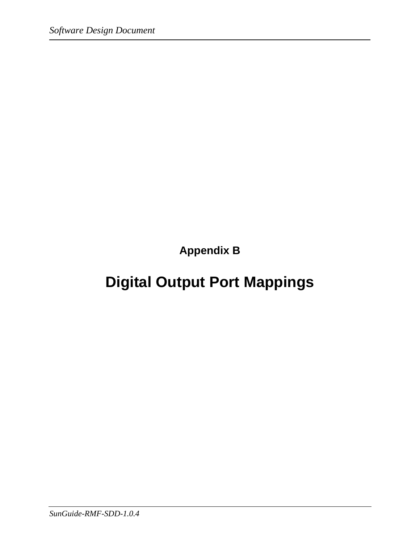**Appendix B** 

# **Digital Output Port Mappings**